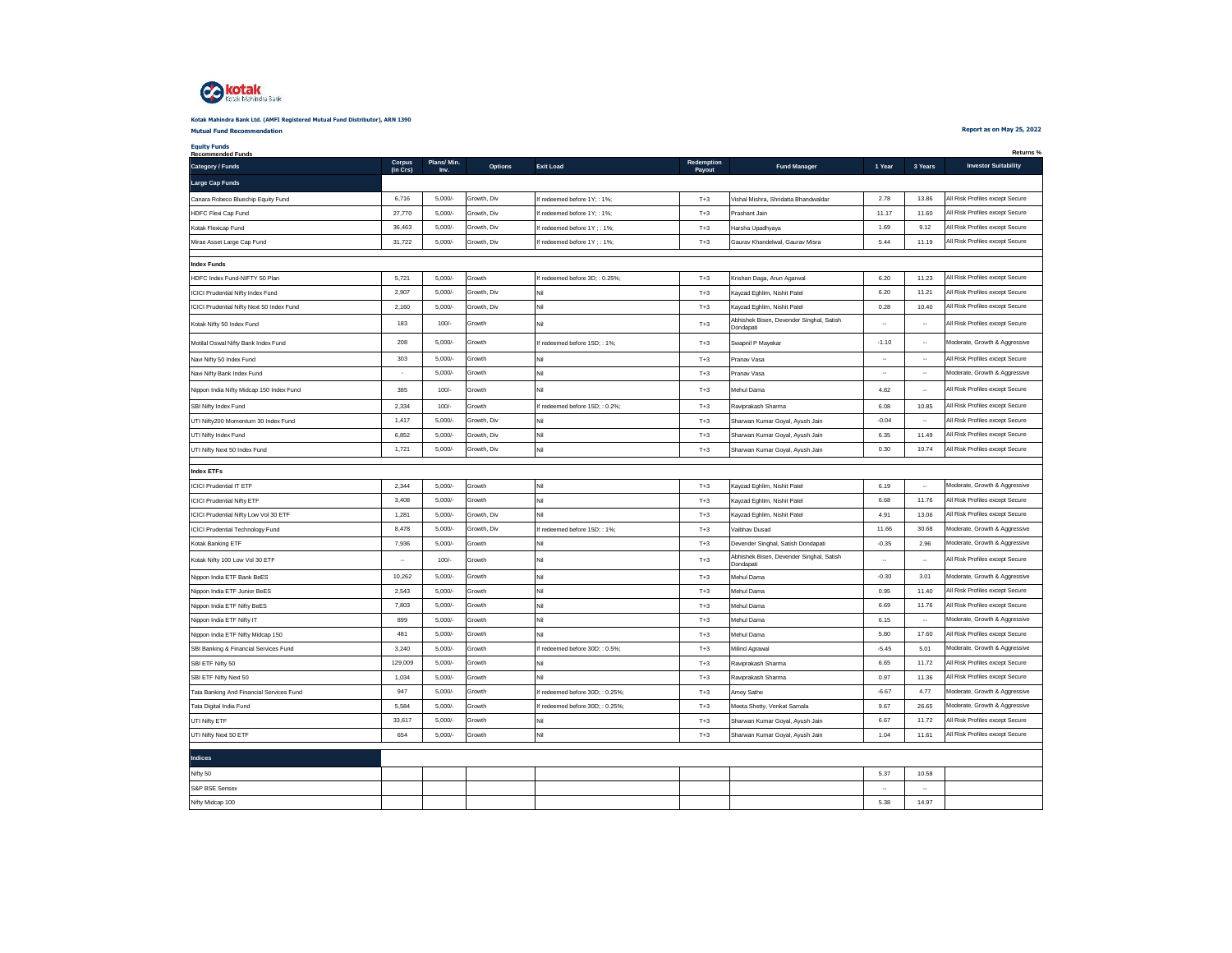

### **Mutual Fund Recommendation Kotak Mahindra Bank Ltd. (AMFI Registered Mutual Fund Distributor), ARN 1390**

**Report as on May 25, 2022**

| Plans/Min.<br>Corpus<br>Redemption<br><b>Investor Suitability</b><br>Options<br><b>Exit Load</b><br>1 Year<br>3 Years<br><b>Fund Manager</b><br>(in Crs)<br>Payout<br>Inv.<br>5,000/<br>2.78<br>13.86<br>All Risk Profiles except Secure<br>6.716<br>Growth, Div<br>If redeemed before 1Y; : 1%;<br>$T+3$<br>Vishal Mishra, Shridatta Bhandwaldar<br>Canara Robeco Bluechip Equity Fund<br>All Risk Profiles except Secure<br>27,770<br>11.17<br>11.60<br>5.000/<br>Growth, Div<br>HDFC Flexi Cap Fund<br>If redeemed before 1Y; : 1%;<br>$T+3$<br>Prashant Jain<br>$T+3$<br>1.69<br>All Risk Profiles except Secure<br>Kotak Flexicap Fund<br>36,463<br>5,000/<br>Growth, Div<br>If redeemed before 1Y ; : 1%;<br>Harsha Upadhyaya<br>9.12<br>31.722<br>5.000/<br>5.44<br>11.19<br>All Risk Profiles except Secure<br>Growth, Div<br>$T+3$<br>Mirae Asset Large Cap Fund<br>If redeemed before 1Y; : 1%;<br>Gaurav Khandelwal, Gaurav Misra<br><b>Index Funds</b><br>HDFC Index Fund-NIFTY 50 Plan<br>5,721<br>$5,000/-$<br>Growth<br>If redeemed before 3D; : 0.25%;<br>$T+3$<br>Krishan Daga, Arun Agarwal<br>6.20<br>11.23<br>All Risk Profiles except Secure<br>2,907<br>5,000/<br>Growth, Div<br>6.20<br>11.21<br>All Risk Profiles except Secure<br>Nil<br>$T+3$<br><b>ICICI Prudential Nifty Index Fund</b><br>Kayzad Eghlim, Nishit Patel<br>0.28<br>All Risk Profiles except Secure<br>CICI Prudential Nifty Next 50 Index Fund<br>2,160<br>5,000/<br>Growth, Div<br>Nil<br>$T+3$<br>Kayzad Eghlim, Nishit Patel<br>10.40<br>Abhishek Bisen, Devender Singhal, Satish<br>183<br>100/<br>All Risk Profiles except Secure<br>Growth<br>Nil<br>$T+3$<br>$\ddot{\phantom{a}}$<br>$\ddot{\phantom{a}}$<br>Kotak Nifty 50 Index Fund<br>Dondapati<br>Motilal Oswal Nifty Bank Index Fund<br>208<br>$_{\rm T+3}$<br>Moderate, Growth & Aggressive<br>5.000/<br>Growth<br>If redeemed before 15D:: 1%:<br>Swapnil P Mayekar<br>$-1.10$<br>$\overline{\phantom{a}}$<br>303<br>5,000/<br>Nil<br>All Risk Profiles except Secure<br>Navi Nifty 50 Index Fund<br>Growth<br>$T+3$<br>$\ddot{\phantom{a}}$<br>Pranav Vasa<br>5,000/<br>Nil<br>Growth<br>Moderate, Growth & Aggressive<br>Navi Nifty Bank Index Fund<br>$T+3$<br>Pranav Vasa<br>$\ddotsc$<br>$\ddotsc$<br>$\tilde{\phantom{a}}$<br>Nil<br>Nippon India Nifty Midcap 150 Index Fund<br>385<br>100/<br>Growth<br>$T+3$<br>Mehul Dama<br>4.82<br>All Risk Profiles except Secure<br>$\ddot{\phantom{0}}$<br>2,334<br>100/<br>Growth<br>6.08<br>10.85<br>All Risk Profiles except Secure<br>$T+3$<br>SBI Nifty Index Fund<br>If redeemed before 15D: 0.2%;<br>Raviprakash Sharma<br>All Risk Profiles except Secure<br>JTI Nifty200 Momentum 30 Index Fund<br>1,417<br>5,000/<br>Growth, Div<br>Nil<br>$T+3$<br>$-0.04$<br>Sharwan Kumar Goyal, Ayush Jain<br>$\overline{\phantom{a}}$<br>Nil<br>All Risk Profiles except Secure<br>UTI Nifty Index Fund<br>6,852<br>5,000/<br>$T+3$<br>6.35<br>11.49<br>Growth, Div<br>Sharwan Kumar Goval, Avush Jain<br>1,721<br>Nil<br>0.30<br>10.74<br>5.000/<br>Growth, Div<br>All Risk Profiles except Secure<br>JTI Nifty Next 50 Index Fund<br>$T+3$<br>Sharwan Kumar Goyal, Ayush Jain<br><b>Index ETFs</b><br>CICI Prudential IT ETF<br>2,344<br>5,000/<br>Growth<br>Nil<br>$T+3$<br>Kayzad Eghlim, Nishit Patel<br>6.19<br>Moderate, Growth & Aggressive<br>$\cdot$<br>3,408<br>5,000/<br>6.68<br>11.76<br>All Risk Profiles except Secure<br>Nil<br><b>ICICI Prudential Nifty ETF</b><br>Growth<br>$T+3$<br>Kayzad Eghlim, Nishit Patel<br>1,281<br>5,000/<br>Growth, Div<br>Nil<br>$T+3$<br>4.91<br>13.06<br>All Risk Profiles except Secure<br>CICI Prudential Nifty Low Vol 30 ETF<br>Kayzad Eghlim, Nishit Patel<br>8.478<br>11.66<br>Moderate, Growth & Aggressive<br>ICICI Prudential Technology Fund<br>5.000/<br>Growth, Div<br>If redeemed before 15D:: 1%:<br>$T+3$<br>30.68<br>Vaibhav Dusad<br>Kotak Banking ETF<br>7.936<br>5.000/<br>Growth<br>Nil<br>$T+3$<br>Devender Singhal, Satish Dondapati<br>$-0.35$<br>2.96<br>Moderate, Growth & Aggressive<br>Abhishek Bisen, Devender Singhal, Satish<br>Nil<br>All Risk Profiles except Secure<br>Kotak Nifty 100 Low Vol 30 ETF<br>100/<br>$T+3$<br>Growth<br>$\overline{\phantom{a}}$<br>$\ddotsc$<br>$\ddotsc$<br>Dondapati<br>10,262<br>5,000/<br>Growth<br>Nil<br>$-0.30$<br>3.01<br>Vippon India ETF Bank BeES<br>$T+3$<br>Mehul Dama<br>Moderate, Growth & Aggressive<br>Nil<br>All Risk Profiles except Secure<br>Nippon India ETF Junior BeES<br>2,543<br>5.000/<br>Growth<br>$T+3$<br>Mehul Dama<br>0.95<br>11.40<br>6.69<br>7.803<br>5.000/<br>Nil<br>11.76<br>All Risk Profiles except Secure<br>Nippon India ETF Nifty BeES<br>Growth<br>$T+3$<br>Mehul Dama<br>899<br>5,000/<br>Growth<br>Nil<br>6.15<br>$\cdot$<br>Moderate, Growth & Aggressive<br>Nippon India ETF Nifty IT<br>$T+3$<br>Mehul Dama<br>Nil<br>All Risk Profiles except Secure<br>Nippon India ETF Nifty Midcap 150<br>$T+3$<br>5.80<br>17.60<br>481<br>5.000/<br>Mehul Dama<br>Growth<br>SBI Banking & Financial Services Fund<br>3,240<br>5,000/<br>Growth<br>If redeemed before 30D; : 0.5%;<br>$T+3$<br>$-5.45$<br>5.01<br>Moderate, Growth & Aggressive<br>Milind Agrawal<br>129,009<br>5,000/<br>6.65<br>11.72<br>All Risk Profiles except Secure<br>Growth<br>Nil<br>SBI ETF Nifty 50<br>$T+3$<br>Raviprakash Sharma<br>Nil<br>$T+3$<br>All Risk Profiles except Secure<br>SBI ETF Nifty Next 50<br>1,034<br>5,000/<br>Growth<br>Raviprakash Sharma<br>0.97<br>11.36<br>947<br>5,000/<br>Growth<br>$T+3$<br>$-6.67$<br>4.77<br>Moderate, Growth & Aggressive<br>Tata Banking And Financial Services Fund<br>If redeemed before 30D:: 0.25%<br>Amey Sathe<br>Moderate, Growth & Aggressive<br>Tata Digital India Fund<br>5.584<br>5.000/<br>Growth<br>If redeemed before 30D; : 0.25%;<br>$T+3$<br>Meeta Shetty, Venkat Samala<br>9.67<br>26.65<br>Nil<br>All Risk Profiles except Secure<br>JTI Nifty ETF<br>33,617<br>5,000/<br>Growth<br>$T+3$<br>Sharwan Kumar Goyal, Ayush Jain<br>6.67<br>11.72<br>654<br>Nil<br>1.04<br>5.000/<br>Growth<br>11.61<br>All Risk Profiles except Secure | <b>Equity Funds</b><br><b>Recommended Funds</b> |  |  |       |                                 |  | Returns % |
|-------------------------------------------------------------------------------------------------------------------------------------------------------------------------------------------------------------------------------------------------------------------------------------------------------------------------------------------------------------------------------------------------------------------------------------------------------------------------------------------------------------------------------------------------------------------------------------------------------------------------------------------------------------------------------------------------------------------------------------------------------------------------------------------------------------------------------------------------------------------------------------------------------------------------------------------------------------------------------------------------------------------------------------------------------------------------------------------------------------------------------------------------------------------------------------------------------------------------------------------------------------------------------------------------------------------------------------------------------------------------------------------------------------------------------------------------------------------------------------------------------------------------------------------------------------------------------------------------------------------------------------------------------------------------------------------------------------------------------------------------------------------------------------------------------------------------------------------------------------------------------------------------------------------------------------------------------------------------------------------------------------------------------------------------------------------------------------------------------------------------------------------------------------------------------------------------------------------------------------------------------------------------------------------------------------------------------------------------------------------------------------------------------------------------------------------------------------------------------------------------------------------------------------------------------------------------------------------------------------------------------------------------------------------------------------------------------------------------------------------------------------------------------------------------------------------------------------------------------------------------------------------------------------------------------------------------------------------------------------------------------------------------------------------------------------------------------------------------------------------------------------------------------------------------------------------------------------------------------------------------------------------------------------------------------------------------------------------------------------------------------------------------------------------------------------------------------------------------------------------------------------------------------------------------------------------------------------------------------------------------------------------------------------------------------------------------------------------------------------------------------------------------------------------------------------------------------------------------------------------------------------------------------------------------------------------------------------------------------------------------------------------------------------------------------------------------------------------------------------------------------------------------------------------------------------------------------------------------------------------------------------------------------------------------------------------------------------------------------------------------------------------------------------------------------------------------------------------------------------------------------------------------------------------------------------------------------------------------------------------------------------------------------------------------------------------------------------------------------------------------------------------------------------------------------------------------------------------------------------------------------------------------------------------------------------------------------------------------------------------------------------------------------------------------------------------------------------------------------------------------------------------------------------------------------------------------------------------------------------------------------------------------------------------------------------------------------------------------------------------------------------------------------------------------------------------------------------------------------------------------------------------------------------------------------------------------------------------------------------------------------------------------------------------------------------------------------------------------------------------------------------------------------------------------------------------------------------------------------------------------------------------------------------------------------------------------------------------------------------------------------------------------------------------------------------------------------------------------------------------------------------------------|-------------------------------------------------|--|--|-------|---------------------------------|--|-----------|
|                                                                                                                                                                                                                                                                                                                                                                                                                                                                                                                                                                                                                                                                                                                                                                                                                                                                                                                                                                                                                                                                                                                                                                                                                                                                                                                                                                                                                                                                                                                                                                                                                                                                                                                                                                                                                                                                                                                                                                                                                                                                                                                                                                                                                                                                                                                                                                                                                                                                                                                                                                                                                                                                                                                                                                                                                                                                                                                                                                                                                                                                                                                                                                                                                                                                                                                                                                                                                                                                                                                                                                                                                                                                                                                                                                                                                                                                                                                                                                                                                                                                                                                                                                                                                                                                                                                                                                                                                                                                                                                                                                                                                                                                                                                                                                                                                                                                                                                                                                                                                                                                                                                                                                                                                                                                                                                                                                                                                                                                                                                                                                                                                                                                                                                                                                                                                                                                                                                                                                                                                                                                                                                                                 | Category / Funds                                |  |  |       |                                 |  |           |
|                                                                                                                                                                                                                                                                                                                                                                                                                                                                                                                                                                                                                                                                                                                                                                                                                                                                                                                                                                                                                                                                                                                                                                                                                                                                                                                                                                                                                                                                                                                                                                                                                                                                                                                                                                                                                                                                                                                                                                                                                                                                                                                                                                                                                                                                                                                                                                                                                                                                                                                                                                                                                                                                                                                                                                                                                                                                                                                                                                                                                                                                                                                                                                                                                                                                                                                                                                                                                                                                                                                                                                                                                                                                                                                                                                                                                                                                                                                                                                                                                                                                                                                                                                                                                                                                                                                                                                                                                                                                                                                                                                                                                                                                                                                                                                                                                                                                                                                                                                                                                                                                                                                                                                                                                                                                                                                                                                                                                                                                                                                                                                                                                                                                                                                                                                                                                                                                                                                                                                                                                                                                                                                                                 | Large Cap Funds                                 |  |  |       |                                 |  |           |
|                                                                                                                                                                                                                                                                                                                                                                                                                                                                                                                                                                                                                                                                                                                                                                                                                                                                                                                                                                                                                                                                                                                                                                                                                                                                                                                                                                                                                                                                                                                                                                                                                                                                                                                                                                                                                                                                                                                                                                                                                                                                                                                                                                                                                                                                                                                                                                                                                                                                                                                                                                                                                                                                                                                                                                                                                                                                                                                                                                                                                                                                                                                                                                                                                                                                                                                                                                                                                                                                                                                                                                                                                                                                                                                                                                                                                                                                                                                                                                                                                                                                                                                                                                                                                                                                                                                                                                                                                                                                                                                                                                                                                                                                                                                                                                                                                                                                                                                                                                                                                                                                                                                                                                                                                                                                                                                                                                                                                                                                                                                                                                                                                                                                                                                                                                                                                                                                                                                                                                                                                                                                                                                                                 |                                                 |  |  |       |                                 |  |           |
|                                                                                                                                                                                                                                                                                                                                                                                                                                                                                                                                                                                                                                                                                                                                                                                                                                                                                                                                                                                                                                                                                                                                                                                                                                                                                                                                                                                                                                                                                                                                                                                                                                                                                                                                                                                                                                                                                                                                                                                                                                                                                                                                                                                                                                                                                                                                                                                                                                                                                                                                                                                                                                                                                                                                                                                                                                                                                                                                                                                                                                                                                                                                                                                                                                                                                                                                                                                                                                                                                                                                                                                                                                                                                                                                                                                                                                                                                                                                                                                                                                                                                                                                                                                                                                                                                                                                                                                                                                                                                                                                                                                                                                                                                                                                                                                                                                                                                                                                                                                                                                                                                                                                                                                                                                                                                                                                                                                                                                                                                                                                                                                                                                                                                                                                                                                                                                                                                                                                                                                                                                                                                                                                                 |                                                 |  |  |       |                                 |  |           |
|                                                                                                                                                                                                                                                                                                                                                                                                                                                                                                                                                                                                                                                                                                                                                                                                                                                                                                                                                                                                                                                                                                                                                                                                                                                                                                                                                                                                                                                                                                                                                                                                                                                                                                                                                                                                                                                                                                                                                                                                                                                                                                                                                                                                                                                                                                                                                                                                                                                                                                                                                                                                                                                                                                                                                                                                                                                                                                                                                                                                                                                                                                                                                                                                                                                                                                                                                                                                                                                                                                                                                                                                                                                                                                                                                                                                                                                                                                                                                                                                                                                                                                                                                                                                                                                                                                                                                                                                                                                                                                                                                                                                                                                                                                                                                                                                                                                                                                                                                                                                                                                                                                                                                                                                                                                                                                                                                                                                                                                                                                                                                                                                                                                                                                                                                                                                                                                                                                                                                                                                                                                                                                                                                 |                                                 |  |  |       |                                 |  |           |
|                                                                                                                                                                                                                                                                                                                                                                                                                                                                                                                                                                                                                                                                                                                                                                                                                                                                                                                                                                                                                                                                                                                                                                                                                                                                                                                                                                                                                                                                                                                                                                                                                                                                                                                                                                                                                                                                                                                                                                                                                                                                                                                                                                                                                                                                                                                                                                                                                                                                                                                                                                                                                                                                                                                                                                                                                                                                                                                                                                                                                                                                                                                                                                                                                                                                                                                                                                                                                                                                                                                                                                                                                                                                                                                                                                                                                                                                                                                                                                                                                                                                                                                                                                                                                                                                                                                                                                                                                                                                                                                                                                                                                                                                                                                                                                                                                                                                                                                                                                                                                                                                                                                                                                                                                                                                                                                                                                                                                                                                                                                                                                                                                                                                                                                                                                                                                                                                                                                                                                                                                                                                                                                                                 |                                                 |  |  |       |                                 |  |           |
|                                                                                                                                                                                                                                                                                                                                                                                                                                                                                                                                                                                                                                                                                                                                                                                                                                                                                                                                                                                                                                                                                                                                                                                                                                                                                                                                                                                                                                                                                                                                                                                                                                                                                                                                                                                                                                                                                                                                                                                                                                                                                                                                                                                                                                                                                                                                                                                                                                                                                                                                                                                                                                                                                                                                                                                                                                                                                                                                                                                                                                                                                                                                                                                                                                                                                                                                                                                                                                                                                                                                                                                                                                                                                                                                                                                                                                                                                                                                                                                                                                                                                                                                                                                                                                                                                                                                                                                                                                                                                                                                                                                                                                                                                                                                                                                                                                                                                                                                                                                                                                                                                                                                                                                                                                                                                                                                                                                                                                                                                                                                                                                                                                                                                                                                                                                                                                                                                                                                                                                                                                                                                                                                                 |                                                 |  |  |       |                                 |  |           |
|                                                                                                                                                                                                                                                                                                                                                                                                                                                                                                                                                                                                                                                                                                                                                                                                                                                                                                                                                                                                                                                                                                                                                                                                                                                                                                                                                                                                                                                                                                                                                                                                                                                                                                                                                                                                                                                                                                                                                                                                                                                                                                                                                                                                                                                                                                                                                                                                                                                                                                                                                                                                                                                                                                                                                                                                                                                                                                                                                                                                                                                                                                                                                                                                                                                                                                                                                                                                                                                                                                                                                                                                                                                                                                                                                                                                                                                                                                                                                                                                                                                                                                                                                                                                                                                                                                                                                                                                                                                                                                                                                                                                                                                                                                                                                                                                                                                                                                                                                                                                                                                                                                                                                                                                                                                                                                                                                                                                                                                                                                                                                                                                                                                                                                                                                                                                                                                                                                                                                                                                                                                                                                                                                 |                                                 |  |  |       |                                 |  |           |
|                                                                                                                                                                                                                                                                                                                                                                                                                                                                                                                                                                                                                                                                                                                                                                                                                                                                                                                                                                                                                                                                                                                                                                                                                                                                                                                                                                                                                                                                                                                                                                                                                                                                                                                                                                                                                                                                                                                                                                                                                                                                                                                                                                                                                                                                                                                                                                                                                                                                                                                                                                                                                                                                                                                                                                                                                                                                                                                                                                                                                                                                                                                                                                                                                                                                                                                                                                                                                                                                                                                                                                                                                                                                                                                                                                                                                                                                                                                                                                                                                                                                                                                                                                                                                                                                                                                                                                                                                                                                                                                                                                                                                                                                                                                                                                                                                                                                                                                                                                                                                                                                                                                                                                                                                                                                                                                                                                                                                                                                                                                                                                                                                                                                                                                                                                                                                                                                                                                                                                                                                                                                                                                                                 |                                                 |  |  |       |                                 |  |           |
|                                                                                                                                                                                                                                                                                                                                                                                                                                                                                                                                                                                                                                                                                                                                                                                                                                                                                                                                                                                                                                                                                                                                                                                                                                                                                                                                                                                                                                                                                                                                                                                                                                                                                                                                                                                                                                                                                                                                                                                                                                                                                                                                                                                                                                                                                                                                                                                                                                                                                                                                                                                                                                                                                                                                                                                                                                                                                                                                                                                                                                                                                                                                                                                                                                                                                                                                                                                                                                                                                                                                                                                                                                                                                                                                                                                                                                                                                                                                                                                                                                                                                                                                                                                                                                                                                                                                                                                                                                                                                                                                                                                                                                                                                                                                                                                                                                                                                                                                                                                                                                                                                                                                                                                                                                                                                                                                                                                                                                                                                                                                                                                                                                                                                                                                                                                                                                                                                                                                                                                                                                                                                                                                                 |                                                 |  |  |       |                                 |  |           |
|                                                                                                                                                                                                                                                                                                                                                                                                                                                                                                                                                                                                                                                                                                                                                                                                                                                                                                                                                                                                                                                                                                                                                                                                                                                                                                                                                                                                                                                                                                                                                                                                                                                                                                                                                                                                                                                                                                                                                                                                                                                                                                                                                                                                                                                                                                                                                                                                                                                                                                                                                                                                                                                                                                                                                                                                                                                                                                                                                                                                                                                                                                                                                                                                                                                                                                                                                                                                                                                                                                                                                                                                                                                                                                                                                                                                                                                                                                                                                                                                                                                                                                                                                                                                                                                                                                                                                                                                                                                                                                                                                                                                                                                                                                                                                                                                                                                                                                                                                                                                                                                                                                                                                                                                                                                                                                                                                                                                                                                                                                                                                                                                                                                                                                                                                                                                                                                                                                                                                                                                                                                                                                                                                 |                                                 |  |  |       |                                 |  |           |
|                                                                                                                                                                                                                                                                                                                                                                                                                                                                                                                                                                                                                                                                                                                                                                                                                                                                                                                                                                                                                                                                                                                                                                                                                                                                                                                                                                                                                                                                                                                                                                                                                                                                                                                                                                                                                                                                                                                                                                                                                                                                                                                                                                                                                                                                                                                                                                                                                                                                                                                                                                                                                                                                                                                                                                                                                                                                                                                                                                                                                                                                                                                                                                                                                                                                                                                                                                                                                                                                                                                                                                                                                                                                                                                                                                                                                                                                                                                                                                                                                                                                                                                                                                                                                                                                                                                                                                                                                                                                                                                                                                                                                                                                                                                                                                                                                                                                                                                                                                                                                                                                                                                                                                                                                                                                                                                                                                                                                                                                                                                                                                                                                                                                                                                                                                                                                                                                                                                                                                                                                                                                                                                                                 |                                                 |  |  |       |                                 |  |           |
|                                                                                                                                                                                                                                                                                                                                                                                                                                                                                                                                                                                                                                                                                                                                                                                                                                                                                                                                                                                                                                                                                                                                                                                                                                                                                                                                                                                                                                                                                                                                                                                                                                                                                                                                                                                                                                                                                                                                                                                                                                                                                                                                                                                                                                                                                                                                                                                                                                                                                                                                                                                                                                                                                                                                                                                                                                                                                                                                                                                                                                                                                                                                                                                                                                                                                                                                                                                                                                                                                                                                                                                                                                                                                                                                                                                                                                                                                                                                                                                                                                                                                                                                                                                                                                                                                                                                                                                                                                                                                                                                                                                                                                                                                                                                                                                                                                                                                                                                                                                                                                                                                                                                                                                                                                                                                                                                                                                                                                                                                                                                                                                                                                                                                                                                                                                                                                                                                                                                                                                                                                                                                                                                                 |                                                 |  |  |       |                                 |  |           |
|                                                                                                                                                                                                                                                                                                                                                                                                                                                                                                                                                                                                                                                                                                                                                                                                                                                                                                                                                                                                                                                                                                                                                                                                                                                                                                                                                                                                                                                                                                                                                                                                                                                                                                                                                                                                                                                                                                                                                                                                                                                                                                                                                                                                                                                                                                                                                                                                                                                                                                                                                                                                                                                                                                                                                                                                                                                                                                                                                                                                                                                                                                                                                                                                                                                                                                                                                                                                                                                                                                                                                                                                                                                                                                                                                                                                                                                                                                                                                                                                                                                                                                                                                                                                                                                                                                                                                                                                                                                                                                                                                                                                                                                                                                                                                                                                                                                                                                                                                                                                                                                                                                                                                                                                                                                                                                                                                                                                                                                                                                                                                                                                                                                                                                                                                                                                                                                                                                                                                                                                                                                                                                                                                 |                                                 |  |  |       |                                 |  |           |
|                                                                                                                                                                                                                                                                                                                                                                                                                                                                                                                                                                                                                                                                                                                                                                                                                                                                                                                                                                                                                                                                                                                                                                                                                                                                                                                                                                                                                                                                                                                                                                                                                                                                                                                                                                                                                                                                                                                                                                                                                                                                                                                                                                                                                                                                                                                                                                                                                                                                                                                                                                                                                                                                                                                                                                                                                                                                                                                                                                                                                                                                                                                                                                                                                                                                                                                                                                                                                                                                                                                                                                                                                                                                                                                                                                                                                                                                                                                                                                                                                                                                                                                                                                                                                                                                                                                                                                                                                                                                                                                                                                                                                                                                                                                                                                                                                                                                                                                                                                                                                                                                                                                                                                                                                                                                                                                                                                                                                                                                                                                                                                                                                                                                                                                                                                                                                                                                                                                                                                                                                                                                                                                                                 |                                                 |  |  |       |                                 |  |           |
|                                                                                                                                                                                                                                                                                                                                                                                                                                                                                                                                                                                                                                                                                                                                                                                                                                                                                                                                                                                                                                                                                                                                                                                                                                                                                                                                                                                                                                                                                                                                                                                                                                                                                                                                                                                                                                                                                                                                                                                                                                                                                                                                                                                                                                                                                                                                                                                                                                                                                                                                                                                                                                                                                                                                                                                                                                                                                                                                                                                                                                                                                                                                                                                                                                                                                                                                                                                                                                                                                                                                                                                                                                                                                                                                                                                                                                                                                                                                                                                                                                                                                                                                                                                                                                                                                                                                                                                                                                                                                                                                                                                                                                                                                                                                                                                                                                                                                                                                                                                                                                                                                                                                                                                                                                                                                                                                                                                                                                                                                                                                                                                                                                                                                                                                                                                                                                                                                                                                                                                                                                                                                                                                                 |                                                 |  |  |       |                                 |  |           |
|                                                                                                                                                                                                                                                                                                                                                                                                                                                                                                                                                                                                                                                                                                                                                                                                                                                                                                                                                                                                                                                                                                                                                                                                                                                                                                                                                                                                                                                                                                                                                                                                                                                                                                                                                                                                                                                                                                                                                                                                                                                                                                                                                                                                                                                                                                                                                                                                                                                                                                                                                                                                                                                                                                                                                                                                                                                                                                                                                                                                                                                                                                                                                                                                                                                                                                                                                                                                                                                                                                                                                                                                                                                                                                                                                                                                                                                                                                                                                                                                                                                                                                                                                                                                                                                                                                                                                                                                                                                                                                                                                                                                                                                                                                                                                                                                                                                                                                                                                                                                                                                                                                                                                                                                                                                                                                                                                                                                                                                                                                                                                                                                                                                                                                                                                                                                                                                                                                                                                                                                                                                                                                                                                 |                                                 |  |  |       |                                 |  |           |
|                                                                                                                                                                                                                                                                                                                                                                                                                                                                                                                                                                                                                                                                                                                                                                                                                                                                                                                                                                                                                                                                                                                                                                                                                                                                                                                                                                                                                                                                                                                                                                                                                                                                                                                                                                                                                                                                                                                                                                                                                                                                                                                                                                                                                                                                                                                                                                                                                                                                                                                                                                                                                                                                                                                                                                                                                                                                                                                                                                                                                                                                                                                                                                                                                                                                                                                                                                                                                                                                                                                                                                                                                                                                                                                                                                                                                                                                                                                                                                                                                                                                                                                                                                                                                                                                                                                                                                                                                                                                                                                                                                                                                                                                                                                                                                                                                                                                                                                                                                                                                                                                                                                                                                                                                                                                                                                                                                                                                                                                                                                                                                                                                                                                                                                                                                                                                                                                                                                                                                                                                                                                                                                                                 |                                                 |  |  |       |                                 |  |           |
|                                                                                                                                                                                                                                                                                                                                                                                                                                                                                                                                                                                                                                                                                                                                                                                                                                                                                                                                                                                                                                                                                                                                                                                                                                                                                                                                                                                                                                                                                                                                                                                                                                                                                                                                                                                                                                                                                                                                                                                                                                                                                                                                                                                                                                                                                                                                                                                                                                                                                                                                                                                                                                                                                                                                                                                                                                                                                                                                                                                                                                                                                                                                                                                                                                                                                                                                                                                                                                                                                                                                                                                                                                                                                                                                                                                                                                                                                                                                                                                                                                                                                                                                                                                                                                                                                                                                                                                                                                                                                                                                                                                                                                                                                                                                                                                                                                                                                                                                                                                                                                                                                                                                                                                                                                                                                                                                                                                                                                                                                                                                                                                                                                                                                                                                                                                                                                                                                                                                                                                                                                                                                                                                                 |                                                 |  |  |       |                                 |  |           |
|                                                                                                                                                                                                                                                                                                                                                                                                                                                                                                                                                                                                                                                                                                                                                                                                                                                                                                                                                                                                                                                                                                                                                                                                                                                                                                                                                                                                                                                                                                                                                                                                                                                                                                                                                                                                                                                                                                                                                                                                                                                                                                                                                                                                                                                                                                                                                                                                                                                                                                                                                                                                                                                                                                                                                                                                                                                                                                                                                                                                                                                                                                                                                                                                                                                                                                                                                                                                                                                                                                                                                                                                                                                                                                                                                                                                                                                                                                                                                                                                                                                                                                                                                                                                                                                                                                                                                                                                                                                                                                                                                                                                                                                                                                                                                                                                                                                                                                                                                                                                                                                                                                                                                                                                                                                                                                                                                                                                                                                                                                                                                                                                                                                                                                                                                                                                                                                                                                                                                                                                                                                                                                                                                 |                                                 |  |  |       |                                 |  |           |
|                                                                                                                                                                                                                                                                                                                                                                                                                                                                                                                                                                                                                                                                                                                                                                                                                                                                                                                                                                                                                                                                                                                                                                                                                                                                                                                                                                                                                                                                                                                                                                                                                                                                                                                                                                                                                                                                                                                                                                                                                                                                                                                                                                                                                                                                                                                                                                                                                                                                                                                                                                                                                                                                                                                                                                                                                                                                                                                                                                                                                                                                                                                                                                                                                                                                                                                                                                                                                                                                                                                                                                                                                                                                                                                                                                                                                                                                                                                                                                                                                                                                                                                                                                                                                                                                                                                                                                                                                                                                                                                                                                                                                                                                                                                                                                                                                                                                                                                                                                                                                                                                                                                                                                                                                                                                                                                                                                                                                                                                                                                                                                                                                                                                                                                                                                                                                                                                                                                                                                                                                                                                                                                                                 |                                                 |  |  |       |                                 |  |           |
|                                                                                                                                                                                                                                                                                                                                                                                                                                                                                                                                                                                                                                                                                                                                                                                                                                                                                                                                                                                                                                                                                                                                                                                                                                                                                                                                                                                                                                                                                                                                                                                                                                                                                                                                                                                                                                                                                                                                                                                                                                                                                                                                                                                                                                                                                                                                                                                                                                                                                                                                                                                                                                                                                                                                                                                                                                                                                                                                                                                                                                                                                                                                                                                                                                                                                                                                                                                                                                                                                                                                                                                                                                                                                                                                                                                                                                                                                                                                                                                                                                                                                                                                                                                                                                                                                                                                                                                                                                                                                                                                                                                                                                                                                                                                                                                                                                                                                                                                                                                                                                                                                                                                                                                                                                                                                                                                                                                                                                                                                                                                                                                                                                                                                                                                                                                                                                                                                                                                                                                                                                                                                                                                                 |                                                 |  |  |       |                                 |  |           |
|                                                                                                                                                                                                                                                                                                                                                                                                                                                                                                                                                                                                                                                                                                                                                                                                                                                                                                                                                                                                                                                                                                                                                                                                                                                                                                                                                                                                                                                                                                                                                                                                                                                                                                                                                                                                                                                                                                                                                                                                                                                                                                                                                                                                                                                                                                                                                                                                                                                                                                                                                                                                                                                                                                                                                                                                                                                                                                                                                                                                                                                                                                                                                                                                                                                                                                                                                                                                                                                                                                                                                                                                                                                                                                                                                                                                                                                                                                                                                                                                                                                                                                                                                                                                                                                                                                                                                                                                                                                                                                                                                                                                                                                                                                                                                                                                                                                                                                                                                                                                                                                                                                                                                                                                                                                                                                                                                                                                                                                                                                                                                                                                                                                                                                                                                                                                                                                                                                                                                                                                                                                                                                                                                 |                                                 |  |  |       |                                 |  |           |
|                                                                                                                                                                                                                                                                                                                                                                                                                                                                                                                                                                                                                                                                                                                                                                                                                                                                                                                                                                                                                                                                                                                                                                                                                                                                                                                                                                                                                                                                                                                                                                                                                                                                                                                                                                                                                                                                                                                                                                                                                                                                                                                                                                                                                                                                                                                                                                                                                                                                                                                                                                                                                                                                                                                                                                                                                                                                                                                                                                                                                                                                                                                                                                                                                                                                                                                                                                                                                                                                                                                                                                                                                                                                                                                                                                                                                                                                                                                                                                                                                                                                                                                                                                                                                                                                                                                                                                                                                                                                                                                                                                                                                                                                                                                                                                                                                                                                                                                                                                                                                                                                                                                                                                                                                                                                                                                                                                                                                                                                                                                                                                                                                                                                                                                                                                                                                                                                                                                                                                                                                                                                                                                                                 |                                                 |  |  |       |                                 |  |           |
|                                                                                                                                                                                                                                                                                                                                                                                                                                                                                                                                                                                                                                                                                                                                                                                                                                                                                                                                                                                                                                                                                                                                                                                                                                                                                                                                                                                                                                                                                                                                                                                                                                                                                                                                                                                                                                                                                                                                                                                                                                                                                                                                                                                                                                                                                                                                                                                                                                                                                                                                                                                                                                                                                                                                                                                                                                                                                                                                                                                                                                                                                                                                                                                                                                                                                                                                                                                                                                                                                                                                                                                                                                                                                                                                                                                                                                                                                                                                                                                                                                                                                                                                                                                                                                                                                                                                                                                                                                                                                                                                                                                                                                                                                                                                                                                                                                                                                                                                                                                                                                                                                                                                                                                                                                                                                                                                                                                                                                                                                                                                                                                                                                                                                                                                                                                                                                                                                                                                                                                                                                                                                                                                                 |                                                 |  |  |       |                                 |  |           |
|                                                                                                                                                                                                                                                                                                                                                                                                                                                                                                                                                                                                                                                                                                                                                                                                                                                                                                                                                                                                                                                                                                                                                                                                                                                                                                                                                                                                                                                                                                                                                                                                                                                                                                                                                                                                                                                                                                                                                                                                                                                                                                                                                                                                                                                                                                                                                                                                                                                                                                                                                                                                                                                                                                                                                                                                                                                                                                                                                                                                                                                                                                                                                                                                                                                                                                                                                                                                                                                                                                                                                                                                                                                                                                                                                                                                                                                                                                                                                                                                                                                                                                                                                                                                                                                                                                                                                                                                                                                                                                                                                                                                                                                                                                                                                                                                                                                                                                                                                                                                                                                                                                                                                                                                                                                                                                                                                                                                                                                                                                                                                                                                                                                                                                                                                                                                                                                                                                                                                                                                                                                                                                                                                 |                                                 |  |  |       |                                 |  |           |
|                                                                                                                                                                                                                                                                                                                                                                                                                                                                                                                                                                                                                                                                                                                                                                                                                                                                                                                                                                                                                                                                                                                                                                                                                                                                                                                                                                                                                                                                                                                                                                                                                                                                                                                                                                                                                                                                                                                                                                                                                                                                                                                                                                                                                                                                                                                                                                                                                                                                                                                                                                                                                                                                                                                                                                                                                                                                                                                                                                                                                                                                                                                                                                                                                                                                                                                                                                                                                                                                                                                                                                                                                                                                                                                                                                                                                                                                                                                                                                                                                                                                                                                                                                                                                                                                                                                                                                                                                                                                                                                                                                                                                                                                                                                                                                                                                                                                                                                                                                                                                                                                                                                                                                                                                                                                                                                                                                                                                                                                                                                                                                                                                                                                                                                                                                                                                                                                                                                                                                                                                                                                                                                                                 |                                                 |  |  |       |                                 |  |           |
|                                                                                                                                                                                                                                                                                                                                                                                                                                                                                                                                                                                                                                                                                                                                                                                                                                                                                                                                                                                                                                                                                                                                                                                                                                                                                                                                                                                                                                                                                                                                                                                                                                                                                                                                                                                                                                                                                                                                                                                                                                                                                                                                                                                                                                                                                                                                                                                                                                                                                                                                                                                                                                                                                                                                                                                                                                                                                                                                                                                                                                                                                                                                                                                                                                                                                                                                                                                                                                                                                                                                                                                                                                                                                                                                                                                                                                                                                                                                                                                                                                                                                                                                                                                                                                                                                                                                                                                                                                                                                                                                                                                                                                                                                                                                                                                                                                                                                                                                                                                                                                                                                                                                                                                                                                                                                                                                                                                                                                                                                                                                                                                                                                                                                                                                                                                                                                                                                                                                                                                                                                                                                                                                                 |                                                 |  |  |       |                                 |  |           |
|                                                                                                                                                                                                                                                                                                                                                                                                                                                                                                                                                                                                                                                                                                                                                                                                                                                                                                                                                                                                                                                                                                                                                                                                                                                                                                                                                                                                                                                                                                                                                                                                                                                                                                                                                                                                                                                                                                                                                                                                                                                                                                                                                                                                                                                                                                                                                                                                                                                                                                                                                                                                                                                                                                                                                                                                                                                                                                                                                                                                                                                                                                                                                                                                                                                                                                                                                                                                                                                                                                                                                                                                                                                                                                                                                                                                                                                                                                                                                                                                                                                                                                                                                                                                                                                                                                                                                                                                                                                                                                                                                                                                                                                                                                                                                                                                                                                                                                                                                                                                                                                                                                                                                                                                                                                                                                                                                                                                                                                                                                                                                                                                                                                                                                                                                                                                                                                                                                                                                                                                                                                                                                                                                 |                                                 |  |  |       |                                 |  |           |
|                                                                                                                                                                                                                                                                                                                                                                                                                                                                                                                                                                                                                                                                                                                                                                                                                                                                                                                                                                                                                                                                                                                                                                                                                                                                                                                                                                                                                                                                                                                                                                                                                                                                                                                                                                                                                                                                                                                                                                                                                                                                                                                                                                                                                                                                                                                                                                                                                                                                                                                                                                                                                                                                                                                                                                                                                                                                                                                                                                                                                                                                                                                                                                                                                                                                                                                                                                                                                                                                                                                                                                                                                                                                                                                                                                                                                                                                                                                                                                                                                                                                                                                                                                                                                                                                                                                                                                                                                                                                                                                                                                                                                                                                                                                                                                                                                                                                                                                                                                                                                                                                                                                                                                                                                                                                                                                                                                                                                                                                                                                                                                                                                                                                                                                                                                                                                                                                                                                                                                                                                                                                                                                                                 |                                                 |  |  |       |                                 |  |           |
|                                                                                                                                                                                                                                                                                                                                                                                                                                                                                                                                                                                                                                                                                                                                                                                                                                                                                                                                                                                                                                                                                                                                                                                                                                                                                                                                                                                                                                                                                                                                                                                                                                                                                                                                                                                                                                                                                                                                                                                                                                                                                                                                                                                                                                                                                                                                                                                                                                                                                                                                                                                                                                                                                                                                                                                                                                                                                                                                                                                                                                                                                                                                                                                                                                                                                                                                                                                                                                                                                                                                                                                                                                                                                                                                                                                                                                                                                                                                                                                                                                                                                                                                                                                                                                                                                                                                                                                                                                                                                                                                                                                                                                                                                                                                                                                                                                                                                                                                                                                                                                                                                                                                                                                                                                                                                                                                                                                                                                                                                                                                                                                                                                                                                                                                                                                                                                                                                                                                                                                                                                                                                                                                                 |                                                 |  |  |       |                                 |  |           |
|                                                                                                                                                                                                                                                                                                                                                                                                                                                                                                                                                                                                                                                                                                                                                                                                                                                                                                                                                                                                                                                                                                                                                                                                                                                                                                                                                                                                                                                                                                                                                                                                                                                                                                                                                                                                                                                                                                                                                                                                                                                                                                                                                                                                                                                                                                                                                                                                                                                                                                                                                                                                                                                                                                                                                                                                                                                                                                                                                                                                                                                                                                                                                                                                                                                                                                                                                                                                                                                                                                                                                                                                                                                                                                                                                                                                                                                                                                                                                                                                                                                                                                                                                                                                                                                                                                                                                                                                                                                                                                                                                                                                                                                                                                                                                                                                                                                                                                                                                                                                                                                                                                                                                                                                                                                                                                                                                                                                                                                                                                                                                                                                                                                                                                                                                                                                                                                                                                                                                                                                                                                                                                                                                 |                                                 |  |  |       |                                 |  |           |
|                                                                                                                                                                                                                                                                                                                                                                                                                                                                                                                                                                                                                                                                                                                                                                                                                                                                                                                                                                                                                                                                                                                                                                                                                                                                                                                                                                                                                                                                                                                                                                                                                                                                                                                                                                                                                                                                                                                                                                                                                                                                                                                                                                                                                                                                                                                                                                                                                                                                                                                                                                                                                                                                                                                                                                                                                                                                                                                                                                                                                                                                                                                                                                                                                                                                                                                                                                                                                                                                                                                                                                                                                                                                                                                                                                                                                                                                                                                                                                                                                                                                                                                                                                                                                                                                                                                                                                                                                                                                                                                                                                                                                                                                                                                                                                                                                                                                                                                                                                                                                                                                                                                                                                                                                                                                                                                                                                                                                                                                                                                                                                                                                                                                                                                                                                                                                                                                                                                                                                                                                                                                                                                                                 |                                                 |  |  |       |                                 |  |           |
|                                                                                                                                                                                                                                                                                                                                                                                                                                                                                                                                                                                                                                                                                                                                                                                                                                                                                                                                                                                                                                                                                                                                                                                                                                                                                                                                                                                                                                                                                                                                                                                                                                                                                                                                                                                                                                                                                                                                                                                                                                                                                                                                                                                                                                                                                                                                                                                                                                                                                                                                                                                                                                                                                                                                                                                                                                                                                                                                                                                                                                                                                                                                                                                                                                                                                                                                                                                                                                                                                                                                                                                                                                                                                                                                                                                                                                                                                                                                                                                                                                                                                                                                                                                                                                                                                                                                                                                                                                                                                                                                                                                                                                                                                                                                                                                                                                                                                                                                                                                                                                                                                                                                                                                                                                                                                                                                                                                                                                                                                                                                                                                                                                                                                                                                                                                                                                                                                                                                                                                                                                                                                                                                                 |                                                 |  |  |       |                                 |  |           |
|                                                                                                                                                                                                                                                                                                                                                                                                                                                                                                                                                                                                                                                                                                                                                                                                                                                                                                                                                                                                                                                                                                                                                                                                                                                                                                                                                                                                                                                                                                                                                                                                                                                                                                                                                                                                                                                                                                                                                                                                                                                                                                                                                                                                                                                                                                                                                                                                                                                                                                                                                                                                                                                                                                                                                                                                                                                                                                                                                                                                                                                                                                                                                                                                                                                                                                                                                                                                                                                                                                                                                                                                                                                                                                                                                                                                                                                                                                                                                                                                                                                                                                                                                                                                                                                                                                                                                                                                                                                                                                                                                                                                                                                                                                                                                                                                                                                                                                                                                                                                                                                                                                                                                                                                                                                                                                                                                                                                                                                                                                                                                                                                                                                                                                                                                                                                                                                                                                                                                                                                                                                                                                                                                 |                                                 |  |  |       |                                 |  |           |
|                                                                                                                                                                                                                                                                                                                                                                                                                                                                                                                                                                                                                                                                                                                                                                                                                                                                                                                                                                                                                                                                                                                                                                                                                                                                                                                                                                                                                                                                                                                                                                                                                                                                                                                                                                                                                                                                                                                                                                                                                                                                                                                                                                                                                                                                                                                                                                                                                                                                                                                                                                                                                                                                                                                                                                                                                                                                                                                                                                                                                                                                                                                                                                                                                                                                                                                                                                                                                                                                                                                                                                                                                                                                                                                                                                                                                                                                                                                                                                                                                                                                                                                                                                                                                                                                                                                                                                                                                                                                                                                                                                                                                                                                                                                                                                                                                                                                                                                                                                                                                                                                                                                                                                                                                                                                                                                                                                                                                                                                                                                                                                                                                                                                                                                                                                                                                                                                                                                                                                                                                                                                                                                                                 |                                                 |  |  |       |                                 |  |           |
|                                                                                                                                                                                                                                                                                                                                                                                                                                                                                                                                                                                                                                                                                                                                                                                                                                                                                                                                                                                                                                                                                                                                                                                                                                                                                                                                                                                                                                                                                                                                                                                                                                                                                                                                                                                                                                                                                                                                                                                                                                                                                                                                                                                                                                                                                                                                                                                                                                                                                                                                                                                                                                                                                                                                                                                                                                                                                                                                                                                                                                                                                                                                                                                                                                                                                                                                                                                                                                                                                                                                                                                                                                                                                                                                                                                                                                                                                                                                                                                                                                                                                                                                                                                                                                                                                                                                                                                                                                                                                                                                                                                                                                                                                                                                                                                                                                                                                                                                                                                                                                                                                                                                                                                                                                                                                                                                                                                                                                                                                                                                                                                                                                                                                                                                                                                                                                                                                                                                                                                                                                                                                                                                                 |                                                 |  |  |       |                                 |  |           |
|                                                                                                                                                                                                                                                                                                                                                                                                                                                                                                                                                                                                                                                                                                                                                                                                                                                                                                                                                                                                                                                                                                                                                                                                                                                                                                                                                                                                                                                                                                                                                                                                                                                                                                                                                                                                                                                                                                                                                                                                                                                                                                                                                                                                                                                                                                                                                                                                                                                                                                                                                                                                                                                                                                                                                                                                                                                                                                                                                                                                                                                                                                                                                                                                                                                                                                                                                                                                                                                                                                                                                                                                                                                                                                                                                                                                                                                                                                                                                                                                                                                                                                                                                                                                                                                                                                                                                                                                                                                                                                                                                                                                                                                                                                                                                                                                                                                                                                                                                                                                                                                                                                                                                                                                                                                                                                                                                                                                                                                                                                                                                                                                                                                                                                                                                                                                                                                                                                                                                                                                                                                                                                                                                 |                                                 |  |  |       |                                 |  |           |
|                                                                                                                                                                                                                                                                                                                                                                                                                                                                                                                                                                                                                                                                                                                                                                                                                                                                                                                                                                                                                                                                                                                                                                                                                                                                                                                                                                                                                                                                                                                                                                                                                                                                                                                                                                                                                                                                                                                                                                                                                                                                                                                                                                                                                                                                                                                                                                                                                                                                                                                                                                                                                                                                                                                                                                                                                                                                                                                                                                                                                                                                                                                                                                                                                                                                                                                                                                                                                                                                                                                                                                                                                                                                                                                                                                                                                                                                                                                                                                                                                                                                                                                                                                                                                                                                                                                                                                                                                                                                                                                                                                                                                                                                                                                                                                                                                                                                                                                                                                                                                                                                                                                                                                                                                                                                                                                                                                                                                                                                                                                                                                                                                                                                                                                                                                                                                                                                                                                                                                                                                                                                                                                                                 |                                                 |  |  |       |                                 |  |           |
|                                                                                                                                                                                                                                                                                                                                                                                                                                                                                                                                                                                                                                                                                                                                                                                                                                                                                                                                                                                                                                                                                                                                                                                                                                                                                                                                                                                                                                                                                                                                                                                                                                                                                                                                                                                                                                                                                                                                                                                                                                                                                                                                                                                                                                                                                                                                                                                                                                                                                                                                                                                                                                                                                                                                                                                                                                                                                                                                                                                                                                                                                                                                                                                                                                                                                                                                                                                                                                                                                                                                                                                                                                                                                                                                                                                                                                                                                                                                                                                                                                                                                                                                                                                                                                                                                                                                                                                                                                                                                                                                                                                                                                                                                                                                                                                                                                                                                                                                                                                                                                                                                                                                                                                                                                                                                                                                                                                                                                                                                                                                                                                                                                                                                                                                                                                                                                                                                                                                                                                                                                                                                                                                                 | UTI Nifty Next 50 ETF                           |  |  | $T+3$ | Sharwan Kumar Goyal, Ayush Jain |  |           |
|                                                                                                                                                                                                                                                                                                                                                                                                                                                                                                                                                                                                                                                                                                                                                                                                                                                                                                                                                                                                                                                                                                                                                                                                                                                                                                                                                                                                                                                                                                                                                                                                                                                                                                                                                                                                                                                                                                                                                                                                                                                                                                                                                                                                                                                                                                                                                                                                                                                                                                                                                                                                                                                                                                                                                                                                                                                                                                                                                                                                                                                                                                                                                                                                                                                                                                                                                                                                                                                                                                                                                                                                                                                                                                                                                                                                                                                                                                                                                                                                                                                                                                                                                                                                                                                                                                                                                                                                                                                                                                                                                                                                                                                                                                                                                                                                                                                                                                                                                                                                                                                                                                                                                                                                                                                                                                                                                                                                                                                                                                                                                                                                                                                                                                                                                                                                                                                                                                                                                                                                                                                                                                                                                 | <b>Indices</b>                                  |  |  |       |                                 |  |           |
| 5.37<br>10.58<br>Nifty 50                                                                                                                                                                                                                                                                                                                                                                                                                                                                                                                                                                                                                                                                                                                                                                                                                                                                                                                                                                                                                                                                                                                                                                                                                                                                                                                                                                                                                                                                                                                                                                                                                                                                                                                                                                                                                                                                                                                                                                                                                                                                                                                                                                                                                                                                                                                                                                                                                                                                                                                                                                                                                                                                                                                                                                                                                                                                                                                                                                                                                                                                                                                                                                                                                                                                                                                                                                                                                                                                                                                                                                                                                                                                                                                                                                                                                                                                                                                                                                                                                                                                                                                                                                                                                                                                                                                                                                                                                                                                                                                                                                                                                                                                                                                                                                                                                                                                                                                                                                                                                                                                                                                                                                                                                                                                                                                                                                                                                                                                                                                                                                                                                                                                                                                                                                                                                                                                                                                                                                                                                                                                                                                       |                                                 |  |  |       |                                 |  |           |
| S&P BSE Sensex<br>$\cdot$<br>$\cdot$                                                                                                                                                                                                                                                                                                                                                                                                                                                                                                                                                                                                                                                                                                                                                                                                                                                                                                                                                                                                                                                                                                                                                                                                                                                                                                                                                                                                                                                                                                                                                                                                                                                                                                                                                                                                                                                                                                                                                                                                                                                                                                                                                                                                                                                                                                                                                                                                                                                                                                                                                                                                                                                                                                                                                                                                                                                                                                                                                                                                                                                                                                                                                                                                                                                                                                                                                                                                                                                                                                                                                                                                                                                                                                                                                                                                                                                                                                                                                                                                                                                                                                                                                                                                                                                                                                                                                                                                                                                                                                                                                                                                                                                                                                                                                                                                                                                                                                                                                                                                                                                                                                                                                                                                                                                                                                                                                                                                                                                                                                                                                                                                                                                                                                                                                                                                                                                                                                                                                                                                                                                                                                            |                                                 |  |  |       |                                 |  |           |
| 5.38<br>14.97                                                                                                                                                                                                                                                                                                                                                                                                                                                                                                                                                                                                                                                                                                                                                                                                                                                                                                                                                                                                                                                                                                                                                                                                                                                                                                                                                                                                                                                                                                                                                                                                                                                                                                                                                                                                                                                                                                                                                                                                                                                                                                                                                                                                                                                                                                                                                                                                                                                                                                                                                                                                                                                                                                                                                                                                                                                                                                                                                                                                                                                                                                                                                                                                                                                                                                                                                                                                                                                                                                                                                                                                                                                                                                                                                                                                                                                                                                                                                                                                                                                                                                                                                                                                                                                                                                                                                                                                                                                                                                                                                                                                                                                                                                                                                                                                                                                                                                                                                                                                                                                                                                                                                                                                                                                                                                                                                                                                                                                                                                                                                                                                                                                                                                                                                                                                                                                                                                                                                                                                                                                                                                                                   | Nifty Midcap 100                                |  |  |       |                                 |  |           |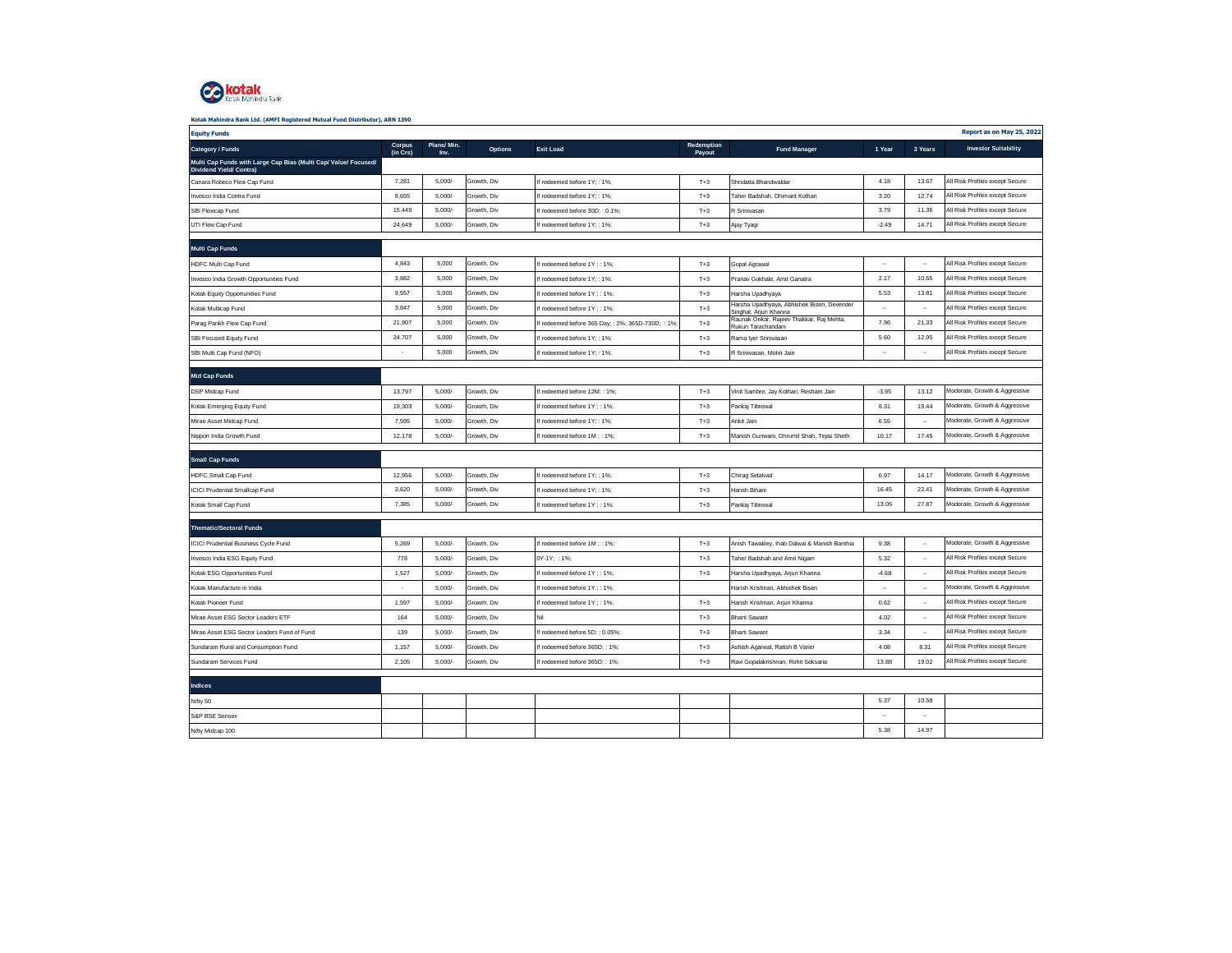

| Kotak Mahindra Bank Ltd. (AMFI Registered Mutual Fund Distributor), ARN 1390 |  |
|------------------------------------------------------------------------------|--|

| <b>Equity Funds</b>                                                                        |                          |                    |                |                                                    |                      |                                                                                         |                      |                          | Report as on May 25, 2022       |
|--------------------------------------------------------------------------------------------|--------------------------|--------------------|----------------|----------------------------------------------------|----------------------|-----------------------------------------------------------------------------------------|----------------------|--------------------------|---------------------------------|
| Category / Funds                                                                           | Corpus<br>(in Crs)       | Plans/Min.<br>Inv. | <b>Options</b> | <b>Exit Load</b>                                   | Redemption<br>Payout | <b>Fund Manager</b>                                                                     | 1 Year               | 3 Years                  | <b>Investor Suitability</b>     |
| Multi Cap Funds with Large Cap Bias (Multi Cap/ Value/ Focused/<br>Dividend Yield/ Contra) |                          |                    |                |                                                    |                      |                                                                                         |                      |                          |                                 |
| Canara Robeco Flexi Cap Fund                                                               | 7,281                    | 5,000/             | Growth, Div    | If redeemed before 1Y; : 1%;                       | $T+3$                | Shridatta Bhandwaldar                                                                   | 4.18                 | 13.67                    | All Risk Profiles except Secure |
| Invesco India Contra Fund                                                                  | 8,655                    | 5,000/             | Growth, Div    | If redeemed before 1Y; : 1%;                       | $T+3$                | Taher Badshah, Dhimant Kothari                                                          | 3.20                 | 12.74                    | All Risk Profiles except Secure |
| SBI Flexicap Fund                                                                          | 15,449                   | 5,000/             | Growth, Div    | f redeemed before 30D; : 0.1%;                     | $T+3$                | R Srinivasan                                                                            | 3.79                 | 11.36                    | All Risk Profiles except Secure |
| UTI Flexi Cap Fund                                                                         | 24,649                   | 5,000/             | Growth, Div    | If redeemed before 1Y:: 1%:                        | $T+3$                | Ajay Tyagi                                                                              | $-2.49$              | 14.71                    | All Risk Profiles except Secure |
| <b>Multi Cap Funds</b>                                                                     |                          |                    |                |                                                    |                      |                                                                                         |                      |                          |                                 |
| HDFC Multi Cap Fund                                                                        | 4,843                    | 5,000              | Growth, Div    | If redeemed before 1Y ; : 1%;                      | $T+3$                | Gopal Agrawal                                                                           | $\ddotsc$            | $\overline{\phantom{a}}$ | All Risk Profiles except Secure |
| Invesco India Growth Opportunities Fund                                                    | 3,882                    | 5,000              | Growth, Div    | f redeemed before 1Y:: 1%:                         | $T+3$                | Pranav Gokhale, Amit Ganatra                                                            | 2.17                 | 10.55                    | All Risk Profiles except Secure |
| Kotak Equity Opportunities Fund                                                            | 9,557                    | 5,000              | Growth, Div    | f redeemed before 1Y; : 1%;                        | $T+3$                | Harsha Upadhyaya                                                                        | 5.53                 | 13.81                    | All Risk Profiles except Secure |
| Kotak Multicap Fund                                                                        | 3,847                    | 5,000              | Growth, Div    | f redeemed before 1Y ; : 1%;                       | $T+3$                | Harsha Upadhyaya, Abhishek Bisen, Devender                                              | $\ddot{\phantom{0}}$ | $\overline{\phantom{a}}$ | All Risk Profiles except Secure |
| Parag Parikh Flexi Cap Fund                                                                | 21,907                   | 5,000              | Growth, Div    | If redeemed before 365 Day; : 2%; 365D-730D; : 1%; | $T+3$                | Singhal, Arjun Khanna<br>Raunak Onkar, Rajeev Thakkar, Raj Mehta,<br>Rukun Tarachandani | 7.96                 | 21.33                    | All Risk Profiles except Secure |
| SBI Focused Equity Fund                                                                    | 24,707                   | 5.000              | Growth, Div    | If redeemed before 1Y:: 1%:                        | $T+3$                | Rama Iyer Srinivasan                                                                    | 5.60                 | 12.95                    | All Risk Profiles except Secure |
| SBI Multi Cap Fund (NFO)                                                                   | $\overline{\phantom{a}}$ | 5,000              | Growth, Div    | If redeemed before 1Y; : 1%                        | $T+3$                | R Srinivasan, Mohit Jain                                                                | $\ddotsc$            | $\overline{\phantom{a}}$ | All Risk Profiles except Secure |
|                                                                                            |                          |                    |                |                                                    |                      |                                                                                         |                      |                          |                                 |
| <b>Mid Cap Funds</b>                                                                       |                          |                    |                |                                                    |                      |                                                                                         |                      |                          |                                 |
| DSP Midcap Fund                                                                            | 13,797                   | 5,000/             | Growth, Div    | If redeemed before 12M; : 1%;                      | $T+3$                | Vinit Sambre, Jay Kothari, Resham Jain                                                  | $-3.95$              | 13.12                    | Moderate, Growth & Aggressive   |
| Kotak Emerging Equity Fund                                                                 | 19,303                   | 5,000/             | Growth, Div    | f redeemed before 1Y ; : 1%;                       | $T+3$                | Pankaj Tibrewal                                                                         | 8.31                 | 19.44                    | Moderate, Growth & Aggressive   |
| Mirae Asset Midcap Fund                                                                    | 7,595                    | 5,000/             | Growth, Div    | If redeemed before 1Y; : 1%;                       | $T+3$                | Ankit Jain                                                                              | 6.55                 | $\sim$                   | Moderate, Growth & Aggressive   |
| Nippon India Growth Fund                                                                   | 12.178                   | $5.000/-$          | Growth, Div    | f redeemed before 1M : : 1%;                       | $T+3$                | Manish Gunwani, Dhrumil Shah, Teias Sheth                                               | 10.17                | 17.45                    | Moderate, Growth & Aggressive   |
| <b>Small Cap Funds</b>                                                                     |                          |                    |                |                                                    |                      |                                                                                         |                      |                          |                                 |
| <b>HDFC Small Cap Fund</b>                                                                 | 12,956                   | $5,000/-$          | Growth, Div    | If redeemed before 1Y; : 1%;                       | $T+3$                | Chirag Setalvad                                                                         | 6.97                 | 14.17                    | Moderate, Growth & Aggressive   |
| <b>ICICI Prudential Smallcap Fund</b>                                                      | 3,620                    | 5,000/             | Growth, Div    | If redeemed before 1Y; : 1%;                       | $T+3$                | Harish Bihani                                                                           | 16.45                | 22.41                    | Moderate, Growth & Aggressive   |
| Kotak Small Cap Fund                                                                       | 7,385                    | 5,000/             | Growth, Div    | If redeemed before 1Y ; : 1%;                      | $T+3$                | Pankaj Tibrewal                                                                         | 13.05                | 27.87                    | Moderate, Growth & Aggressive   |
|                                                                                            |                          |                    |                |                                                    |                      |                                                                                         |                      |                          |                                 |
| <b>Thematic/Sectoral Funds</b>                                                             |                          |                    |                |                                                    |                      |                                                                                         |                      |                          |                                 |
| <b>ICICI Prudential Business Cycle Fund</b>                                                | 5,269                    | 5,000/             | Growth, Div    | If redeemed before 1M; : 1%;                       | $T+3$                | Anish Tawakley, Ihab Dalwai & Manish Banthia                                            | 9.38                 | $\ddot{\phantom{a}}$     | Moderate, Growth & Aggressive   |
| Invesco India ESG Equity Fund                                                              | 778                      | $5.000/-$          | Growth, Div    | 0Y-1Y: : 1%:                                       | $T+3$                | Taher Badshah and Amit Nigam                                                            | 5.32                 | $\overline{\phantom{a}}$ | All Risk Profiles except Secure |
| Kotak ESG Opportunities Fund                                                               | 1,527                    | $5,000/-$          | Growth, Div    | f redeemed before 1Y; : 1%;                        | $T+3$                | Harsha Upadhyaya, Arjun Khanna                                                          | $-4.68$              | $\sim$                   | All Risk Profiles except Secure |
| Kotak Manufacture in India                                                                 | $\overline{\phantom{a}}$ | $5,000/-$          | Growth, Div    | If redeemed before 1Y ; : 1%;                      |                      | Harish Krishnan, Abhishek Bisen                                                         | $\ddotsc$            | $\overline{\phantom{a}}$ | Moderate, Growth & Aggressive   |
| Kotak Pioneer Fund                                                                         | 1,597                    | 5,000/             | Growth, Div    | f redeemed before 1Y; : 1%;                        | $T+3$                | Harish Krishnan, Arjun Khanna                                                           | 0.62                 | $\ddot{\phantom{0}}$     | All Risk Profiles except Secure |
| Mirae Asset ESG Sector Leaders ETF                                                         | 164                      | 5,000/             | Growth, Div    | Nil                                                | $T+3$                | <b>Bharti Sawant</b>                                                                    | 4.02                 | $\ddot{\phantom{a}}$     | All Risk Profiles except Secure |
| Mirae Asset ESG Sector Leaders Fund of Fund                                                | 139                      | $5,000/-$          | Growth, Div    | f redeemed before 5D:: 0.05%;                      | $T+3$                | <b>Bharti Sawant</b>                                                                    | 3.34                 | $\cdots$                 | All Risk Profiles except Secure |
| Sundaram Rural and Consumption Fund                                                        | 1,157                    | 5,000/             | Growth, Div    | f redeemed before 365D:: 1%:                       | $T+3$                | Ashish Agarwal, Ratish B Varier                                                         | 4.08                 | 8.31                     | All Risk Profiles except Secure |
| Sundaram Services Fund                                                                     | 2,105                    | $5,000/-$          | Growth, Div    | If redeemed before 365D; : 1%;                     | $T+3$                | Ravi Gopalakrishnan, Rohit Seksaria                                                     | 13.88                | 19.02                    | All Risk Profiles except Secure |
|                                                                                            |                          |                    |                |                                                    |                      |                                                                                         |                      |                          |                                 |
| <b>Indices</b>                                                                             |                          |                    |                |                                                    |                      |                                                                                         |                      |                          |                                 |
| Nifty 50                                                                                   |                          |                    |                |                                                    |                      |                                                                                         | 5.37                 | 10.58                    |                                 |
| S&P BSE Sensex                                                                             |                          |                    |                |                                                    |                      |                                                                                         |                      |                          |                                 |
| Nifty Midcap 100                                                                           |                          |                    |                |                                                    |                      |                                                                                         | 5.38                 | 14.97                    |                                 |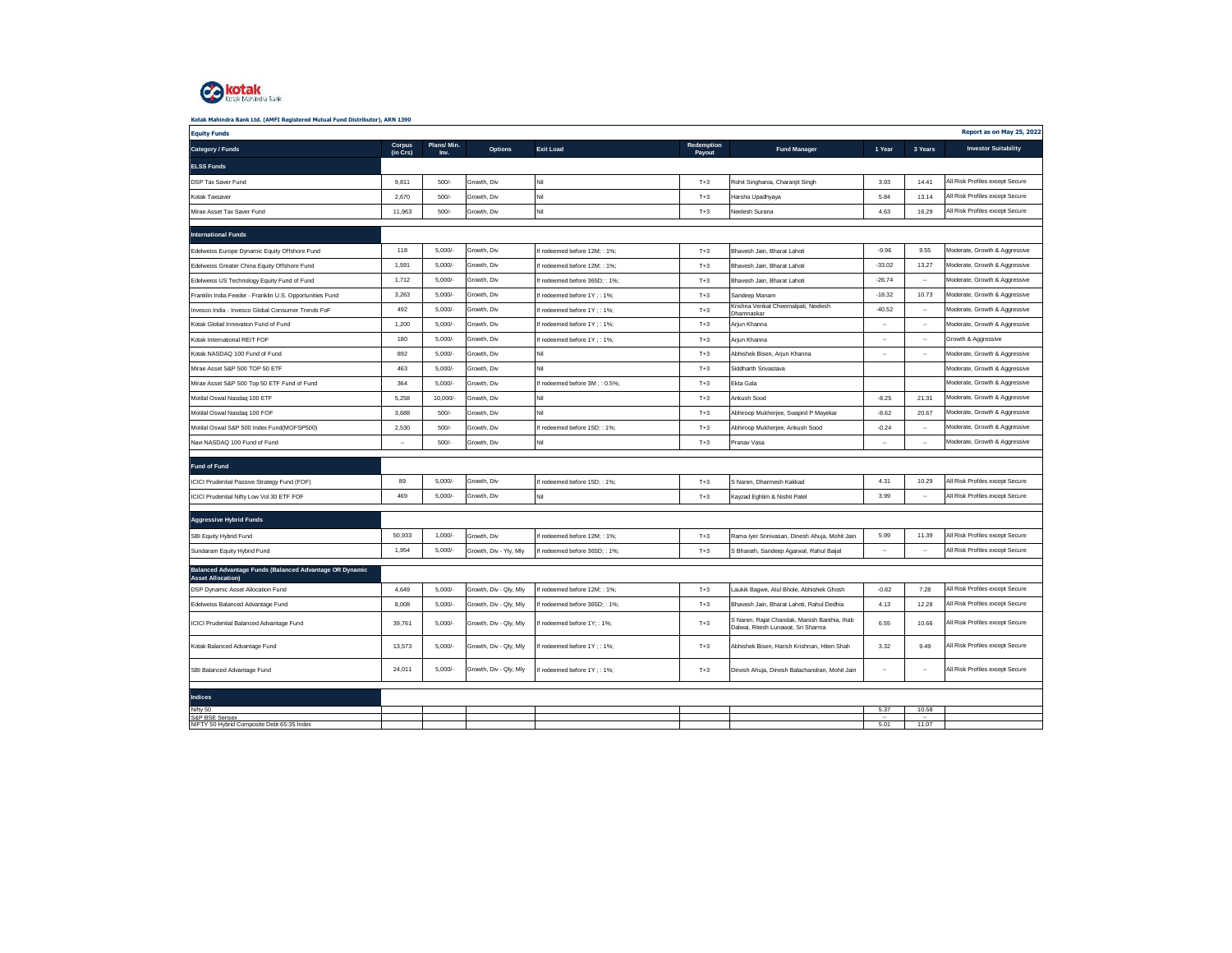

| <b>Equity Funds</b>                                                                 |                          |                    |                        |                                |                      |                                                                                    |           |                          | Report as on May 25, 2022       |
|-------------------------------------------------------------------------------------|--------------------------|--------------------|------------------------|--------------------------------|----------------------|------------------------------------------------------------------------------------|-----------|--------------------------|---------------------------------|
| Category / Funds                                                                    | Corpus<br>(in Crs)       | Plans/Min.<br>Inv. | <b>Options</b>         | <b>Exit Load</b>               | Redemption<br>Payout | <b>Fund Manager</b>                                                                | 1 Year    | 3 Years                  | <b>Investor Suitability</b>     |
| <b>ELSS Funds</b>                                                                   |                          |                    |                        |                                |                      |                                                                                    |           |                          |                                 |
| DSP Tax Saver Fund                                                                  | 9,811                    | 500/               | Growth, Div            | Nil                            | $T+3$                | Rohit Singhania, Charanjit Singh                                                   | 3.93      | 14.41                    | All Risk Profiles except Secure |
| Kotak Taxsaver                                                                      | 2,670                    | 500/               | Growth, Div            | Nil                            | $T+3$                | Harsha Upadhyaya                                                                   | 5.84      | 13.14                    | All Risk Profiles except Secure |
| Mirae Asset Tax Saver Fund                                                          | 11.963                   | 500/               | Growth, Div            | Nil                            | $T+3$                | Neelesh Surana                                                                     | 4.63      | 16.29                    | All Risk Profiles except Secure |
| <b>International Funds</b>                                                          |                          |                    |                        |                                |                      |                                                                                    |           |                          |                                 |
| Edelweiss Europe Dynamic Equity Offshore Fund                                       | 118                      | 5,000/             | Growth, Div            | redeemed before 12M; : 1%;     | $T+3$                | Bhavesh Jain, Bharat Lahoti                                                        | $-9.96$   | 9.55                     | Moderate, Growth & Aggressive   |
| Edelweiss Greater China Equity Offshore Fund                                        | 1,591                    | 5,000/             | Growth, Div            | f redeemed before 12M:: 1%     | $T+3$                | Bhavesh Jain, Bharat Lahoti                                                        | $-33.02$  | 13.27                    | Moderate, Growth & Aggressive   |
| Edelweiss US Technology Equity Fund of Fund                                         | 1,712                    | 5,000/             | Growth, Div            | f redeemed before 365D; : 1%;  | $T+3$                | Bhavesh Jain, Bharat Lahoti                                                        | $-26.74$  | $\ddotsc$                | Moderate, Growth & Aggressive   |
| Franklin India Feeder - Franklin U.S. Opportunities Fund                            | 3,263                    | 5,000/             | Growth, Div            | f redeemed before 1Y : : 1%;   | $T+3$                | Sandeep Manam                                                                      | $-18.32$  | 10.73                    | Moderate, Growth & Aggressive   |
| Invesco India - Invesco Global Consumer Trends FoF                                  | 492                      | 5,000/             | Growth, Div            | f redeemed before 1Y : : 1%:   | $T+3$                | Krishna Venkat Cheemalpati, Neelesh<br>Dhamnaskar                                  | $-40.52$  | $\ddotsc$                | Moderate, Growth & Aggressive   |
| Kotak Global Innovation Fund of Fund                                                | 1,200                    | 5,000/             | Growth, Div            | f redeemed before 1Y ; : 1%;   | $T+3$                | Arjun Khanna                                                                       |           | $\ddot{\phantom{0}}$     | Moderate, Growth & Aggressive   |
| Kotak International REIT FOF                                                        | 180                      | 5,000/             | Growth, Div            | f redeemed before 1Y ; : 1%;   | $T+3$                | Arjun Khanna                                                                       |           | $\ddot{\phantom{0}}$     | Growth & Aggressive             |
| Kotak NASDAQ 100 Fund of Fund                                                       | 892                      | 5,000/             | Growth, Div            | Nil                            | $T+3$                | Abhishek Bisen, Arjun Khanna                                                       | $\ddotsc$ | $\ddotsc$                | Moderate, Growth & Aggressive   |
| Mirae Asset S&P 500 TOP 50 ETF                                                      | 463                      | 5,000/             | Growth, Div            | Nil                            | $T+3$                | Siddharth Srivastava                                                               |           |                          | Moderate, Growth & Aggressive   |
| Mirae Asset S&P 500 Top 50 ETF Fund of Fund                                         | 364                      | 5,000/             | Growth, Div            | f redeemed before 3M; : 0.5%;  | $T+3$                | Ekta Gala                                                                          |           |                          | Moderate, Growth & Aggressive   |
| Motilal Oswal Nasdaq 100 ETF                                                        | 5,258                    | 10,000/-           | Growth, Div            | Nil                            | $T+3$                | Ankush Sood                                                                        | $-8.25$   | 21.31                    | Moderate, Growth & Aggressive   |
| Motilal Oswal Nasdaq 100 FOF                                                        | 3,688                    | 500/               | Growth, Div            | Nil                            | $T+3$                | Abhiroop Mukherjee, Swapnil P Mayekar                                              | $-8.62$   | 20.67                    | Moderate, Growth & Aggressive   |
| Motilal Oswal S&P 500 Index Fund(MOFSP500)                                          | 2.530                    | 500/               | Growth, Div            | redeemed before 15D; : 1%;     | $T+3$                | Abhiroop Mukherjee, Ankush Sood                                                    | $-0.24$   | $\overline{\phantom{a}}$ | Moderate, Growth & Aggressive   |
| Navi NASDAQ 100 Fund of Fund                                                        | $\overline{\phantom{a}}$ | 500/               | Growth, Div            | Nil                            | $T+3$                | Pranav Vasa                                                                        | ۰.        | $\ddot{\phantom{0}}$     | Moderate, Growth & Aggressive   |
| <b>Fund of Fund</b>                                                                 |                          |                    |                        |                                |                      |                                                                                    |           |                          |                                 |
| ICICI Prudential Passive Strategy Fund (FOF)                                        | 89                       | 5,000/             | Growth, Div            | If redeemed before 15D; : 1%;  | $T+3$                | S Naren, Dharmesh Kakkad                                                           | 4.31      | 10.29                    | All Risk Profiles except Secure |
| ICICI Prudential Nifty Low Vol 30 ETF FOF                                           | 469                      | 5.000/             | Growth, Div            | Nil                            | $T+3$                | Kayzad Eghlim & Nishit Patel                                                       | 3.99      | $\overline{\phantom{a}}$ | All Risk Profiles except Secure |
|                                                                                     |                          |                    |                        |                                |                      |                                                                                    |           |                          |                                 |
| <b>Aggressive Hybrid Funds</b>                                                      |                          |                    |                        |                                |                      |                                                                                    |           |                          |                                 |
| SBI Equity Hybrid Fund                                                              | 50,933                   | 1,000/             | Growth, Div            | If redeemed before 12M; : 1%;  | $T+3$                | Rama Iyer Srinivasan, Dinesh Ahuja, Mohit Jain                                     | 5.99      | 11.39                    | All Risk Profiles except Secure |
| Sundaram Equity Hybrid Fund                                                         | 1,954                    | 5,000/             | Growth, Div - Yly, Mly | If redeemed before 365D; : 1%; | $T+3$                | S Bharath, Sandeep Agarwal, Rahul Baijal                                           | $\ddotsc$ | $\overline{\phantom{a}}$ | All Risk Profiles except Secure |
| Balanced Advantage Funds (Balanced Advantage OR Dynamic<br><b>Asset Allocation)</b> |                          |                    |                        |                                |                      |                                                                                    |           |                          |                                 |
| DSP Dynamic Asset Allocation Fund                                                   | 4,649                    | 5,000/             | Growth, Div - Qly, Mly | f redeemed before 12M; : 1%;   | $T+3$                | Laukik Bagwe, Atul Bhole, Abhishek Ghosh                                           | $-0.82$   | 7.28                     | All Risk Profiles except Secure |
| Edelweiss Balanced Advantage Fund                                                   | 8,008                    | 5,000/             | Growth, Div - Qly, Mly | redeemed before 365D; : 1%;    | $T+3$                | Bhavesh Jain, Bharat Lahoti, Rahul Dedhia                                          | 4.13      | 12.28                    | All Risk Profiles except Secure |
| ICICI Prudential Balanced Advantage Fund                                            | 39,761                   | $5,000/-$          | Growth, Div - Qly, Mly | f redeemed before 1Y; : 1%;    | $T+3$                | S Naren, Rajat Chandak, Manish Banthia, Ihab<br>Dalwai, Ritesh Lunawat, Sri Sharma | 6.55      | 10.66                    | All Risk Profiles except Secure |
| Kotak Balanced Advantage Fund                                                       | 13,573                   | 5,000/             | Growth, Div - Qly, Mly | f redeemed before 1Y ; : 1%;   | $T+3$                | Abhishek Bisen, Harish Krishnan, Hiten Shah                                        | 3.32      | 9.49                     | All Risk Profiles except Secure |
| SBI Balanced Advantage Fund                                                         | 24,011                   | 5,000/             | Growth, Div - Qly, Mly | f redeemed before 1Y ; : 1%;   | $T+3$                | Dinesh Ahuja, Dinesh Balachandran, Mohit Jain                                      | ۰.        | $\overline{\phantom{a}}$ | All Risk Profiles except Secure |
|                                                                                     |                          |                    |                        |                                |                      |                                                                                    |           |                          |                                 |
| <b>Indices</b>                                                                      |                          |                    |                        |                                |                      |                                                                                    |           |                          |                                 |
| Nifty 50<br>S&P BSE Sensex<br>NIFTY 50 Hybrid Composite Debt 65:35 Index            |                          |                    |                        |                                |                      |                                                                                    | 5.37<br>  | 10.58<br>$\ddotsc$       |                                 |
|                                                                                     |                          |                    |                        |                                |                      |                                                                                    | 5.01      | 11.07                    |                                 |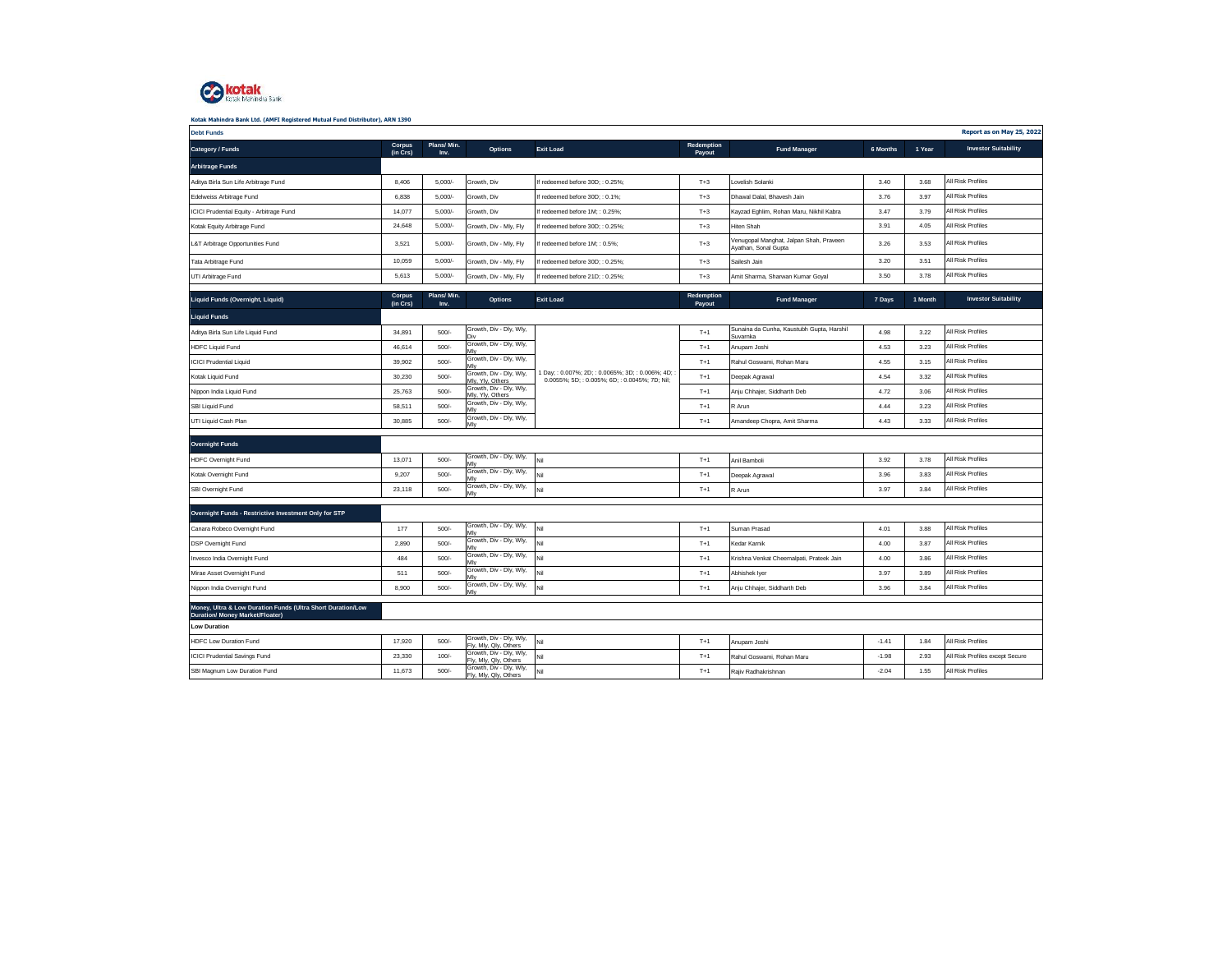

| <b>Debt Funds</b>                                                                                                            |                    |                    |                                                  |                                                                                                  |                      |                                                                 |          |         | Report as on May 25, 2022       |
|------------------------------------------------------------------------------------------------------------------------------|--------------------|--------------------|--------------------------------------------------|--------------------------------------------------------------------------------------------------|----------------------|-----------------------------------------------------------------|----------|---------|---------------------------------|
| Category / Funds                                                                                                             | Corpus<br>(in Crs) | Plans/Min.<br>Inv. | Options                                          | <b>Exit Load</b>                                                                                 | Redemption<br>Payout | <b>Fund Manager</b>                                             | 6 Months | 1 Year  | <b>Investor Suitability</b>     |
| <b>Arbitrage Funds</b>                                                                                                       |                    |                    |                                                  |                                                                                                  |                      |                                                                 |          |         |                                 |
| Aditya Birla Sun Life Arbitrage Fund                                                                                         | 8.406              | 5.000/             | Growth, Div                                      | If redeemed before 30D:: 0.25%:                                                                  | $T+3$                | Lovelish Solanki                                                | 3.40     | 3.68    | All Risk Profiles               |
| Edelweiss Arbitrage Fund                                                                                                     | 6.838              | 5.000/             | Growth, Div                                      | If redeemed before 30D:: 0.1%:                                                                   | $T+3$                | Dhawal Dalal, Bhavesh Jain                                      | 3.76     | 3.97    | All Risk Profiles               |
| ICICI Prudential Equity - Arbitrage Fund                                                                                     | 14,077             | 5,000/             | Growth, Div                                      | If redeemed before 1M:: 0.25%:                                                                   | $T+3$                | Kayzad Eghlim, Rohan Maru, Nikhil Kabra                         | 3.47     | 3.79    | All Risk Profiles               |
| Kotak Equity Arbitrage Fund                                                                                                  | 24,648             | 5,000/             | Growth, Div - Mly, Fly                           | If redeemed before 30D; : 0.25%;                                                                 | $T+3$                | <b>Hiten Shah</b>                                               | 3.91     | 4.05    | All Risk Profiles               |
| L&T Arbitrage Opportunities Fund                                                                                             | 3,521              | 5,000/             | Growth, Div - Mly, Fly                           | If redeemed before 1M; : 0.5%;                                                                   | $T+3$                | Venugopal Manghat, Jalpan Shah, Praveen<br>Ayathan, Sonal Gupta | 3.26     | 3.53    | All Risk Profiles               |
| Tata Arbitrage Fund                                                                                                          | 10.059             | $5.000/-$          | Growth, Div - Mly, Fly                           | If redeemed before 30D:: 0.25%:                                                                  | $T+3$                | Sailesh Jain                                                    | 3.20     | 3.51    | All Risk Profiles               |
| UTI Arbitrage Fund                                                                                                           | 5,613              | 5,000/             | Growth, Div - Mly, Fly                           | If redeemed before 21D; : 0.25%;                                                                 | $T+3$                | Amit Sharma, Sharwan Kumar Goyal                                | 3.50     | 3.78    | All Risk Profiles               |
| Liquid Funds (Overnight, Liquid)                                                                                             | Corpus<br>(in Crs) | Plans/Min.<br>Inv. | Options                                          | <b>Exit Load</b>                                                                                 | Redemption<br>Payout | <b>Fund Manager</b>                                             | 7 Days   | 1 Month | <b>Investor Suitability</b>     |
| <b>Liquid Funds</b>                                                                                                          |                    |                    |                                                  |                                                                                                  |                      |                                                                 |          |         |                                 |
| Aditya Birla Sun Life Liquid Fund                                                                                            | 34,891             | 500/               | Growth, Div - Dly, Wly,<br>Div                   |                                                                                                  | $T+1$                | Sunaina da Cunha, Kaustubh Gupta, Harshil<br>Suvarnka           | 4.98     | 3.22    | All Risk Profiles               |
| <b>HDFC Liquid Fund</b>                                                                                                      | 46.614             | 500/               | Growth, Div - Dly, Wly,                          |                                                                                                  | $T+1$                | Anupam Joshi                                                    | 4.53     | 3.23    | All Risk Profiles               |
| <b>ICICI Prudential Liquid</b>                                                                                               | 39,902             | 500/               | Growth, Div - Dly, Wly,<br>MN                    |                                                                                                  | $T+1$                | Rahul Goswami, Rohan Maru                                       | 4.55     | 3.15    | All Risk Profiles               |
| Kotak Liquid Fund                                                                                                            | 30,230             | 500/               | Growth, Div - Dly, Wly,<br>Mly, Yly, Others      | 1 Day;: 0.007%; 2D;: 0.0065%; 3D;: 0.006%; 4D;<br>0.0055%; 5D; : 0.005%; 6D; : 0.0045%; 7D; Nil; | $T+1$                | Deepak Agrawal                                                  | 4.54     | 3.32    | All Risk Profiles               |
| Nippon India Liquid Fund                                                                                                     | 25,763             | 500/               | Growth, Div - Dly, Wly,<br>Mly, Yly, Others      |                                                                                                  | $T+1$                | Anju Chhajer, Siddharth Deb                                     | 4.72     | 3.06    | All Risk Profiles               |
| SBI Liquid Fund                                                                                                              | 58.511             | 500/               | Growth, Div - Dly, Wly,<br>Mlv                   |                                                                                                  | $T+1$                | R Arun                                                          | 4.44     | 3.23    | All Risk Profiles               |
| UTI Liquid Cash Plan                                                                                                         | 30,885             | 500/               | Growth, Div - Dly, Wly,<br>Mlv                   |                                                                                                  | $T+1$                | Amandeep Chopra, Amit Sharma                                    | 4.43     | 3.33    | All Risk Profiles               |
|                                                                                                                              |                    |                    |                                                  |                                                                                                  |                      |                                                                 |          |         |                                 |
| <b>Overnight Funds</b>                                                                                                       |                    |                    | Growth, Div - Dly, Wly,                          |                                                                                                  |                      |                                                                 |          |         | All Risk Profiles               |
| <b>HDFC Overnight Fund</b>                                                                                                   | 13,071             | 500/               | Mlv<br>Growth, Div - Dly, Wly,                   | Nil                                                                                              | $T+1$                | Anil Bamboli                                                    | 3.92     | 3.78    | All Risk Profiles               |
| Kotak Overnight Fund                                                                                                         | 9,207              | 500/               | Mlv<br>Growth, Div - Dly, Wly,                   | Nil                                                                                              | $T+1$                | Deepak Agrawal                                                  | 3.96     | 3.83    | All Risk Profiles               |
| SBI Overnight Fund                                                                                                           | 23,118             | 500/-              | Mlv                                              | Nil                                                                                              | $T+1$                | R Arun                                                          | 3.97     | 3.84    |                                 |
| Overnight Funds - Restrictive Investment Only for STP                                                                        |                    |                    |                                                  |                                                                                                  |                      |                                                                 |          |         |                                 |
| Canara Robeco Overnight Fund                                                                                                 | 177                | 500/               | Growth, Div - Dly, Wly,<br>Mlv                   | Nil                                                                                              | $T+1$                | Suman Prasad                                                    | 4.01     | 3.88    | All Risk Profiles               |
| DSP Overnight Fund                                                                                                           | 2,890              | 500/               | Growth, Div - Dly, Wly,<br>Mlv                   | Nil                                                                                              | $T+1$                | Kedar Karnik                                                    | 4.00     | 3.87    | All Risk Profiles               |
| Invesco India Overnight Fund                                                                                                 | 484                | 500/               | Growth, Div - Dly, Wly,<br>Mlv                   | Nil                                                                                              | $T+1$                | Krishna Venkat Cheemalpati, Prateek Jain                        | 4.00     | 3.86    | All Risk Profiles               |
| Mirae Asset Overnight Fund                                                                                                   | 511                | 500/               | Growth, Div - Dly, Wly,<br>Mlv                   | Nil                                                                                              | $T+1$                | Abhishek Iyer                                                   | 3.97     | 3.89    | All Risk Profiles               |
| Nippon India Overnight Fund                                                                                                  | 8,900              | 500/               | Growth, Div - Dly, Wly,<br>Mlv                   | Nil                                                                                              | $T+1$                | Anju Chhajer, Siddharth Deb                                     | 3.96     | 3.84    | All Risk Profiles               |
| Money, Ultra & Low Duration Funds (Ultra Short Duration/Low<br>Duration/ Money Market/Floater)                               |                    |                    |                                                  |                                                                                                  |                      |                                                                 |          |         |                                 |
|                                                                                                                              |                    |                    |                                                  |                                                                                                  |                      |                                                                 |          |         |                                 |
|                                                                                                                              | 17,920             | 500/               | Growth, Div - Dly, Wly,                          | Nil                                                                                              | $T+1$                | Anupam Joshi                                                    | $-1.41$  | 1.84    | All Risk Profiles               |
|                                                                                                                              | 23,330             | 100/               | Growth, Div - Dly, Wly,<br>Fly, Mly, Qly, Others | Nil                                                                                              | $T+1$                | Rahul Goswami, Rohan Maru                                       | $-1.98$  | 2.93    | All Risk Profiles except Secure |
|                                                                                                                              | 11.673             | 500/-              | Growth, Div - Dly, Wly,<br>Fly, Mly, Qly, Others | Nil                                                                                              | $T+1$                | Rajiv Radhakrishnan                                             | $-2.04$  | 1.55    | All Risk Profiles               |
| <b>Low Duration</b><br><b>HDFC Low Duration Fund</b><br><b>ICICI Prudential Savings Fund</b><br>SBI Magnum Low Duration Fund |                    |                    | Fly, Mly, Qly, Others                            |                                                                                                  |                      |                                                                 |          |         |                                 |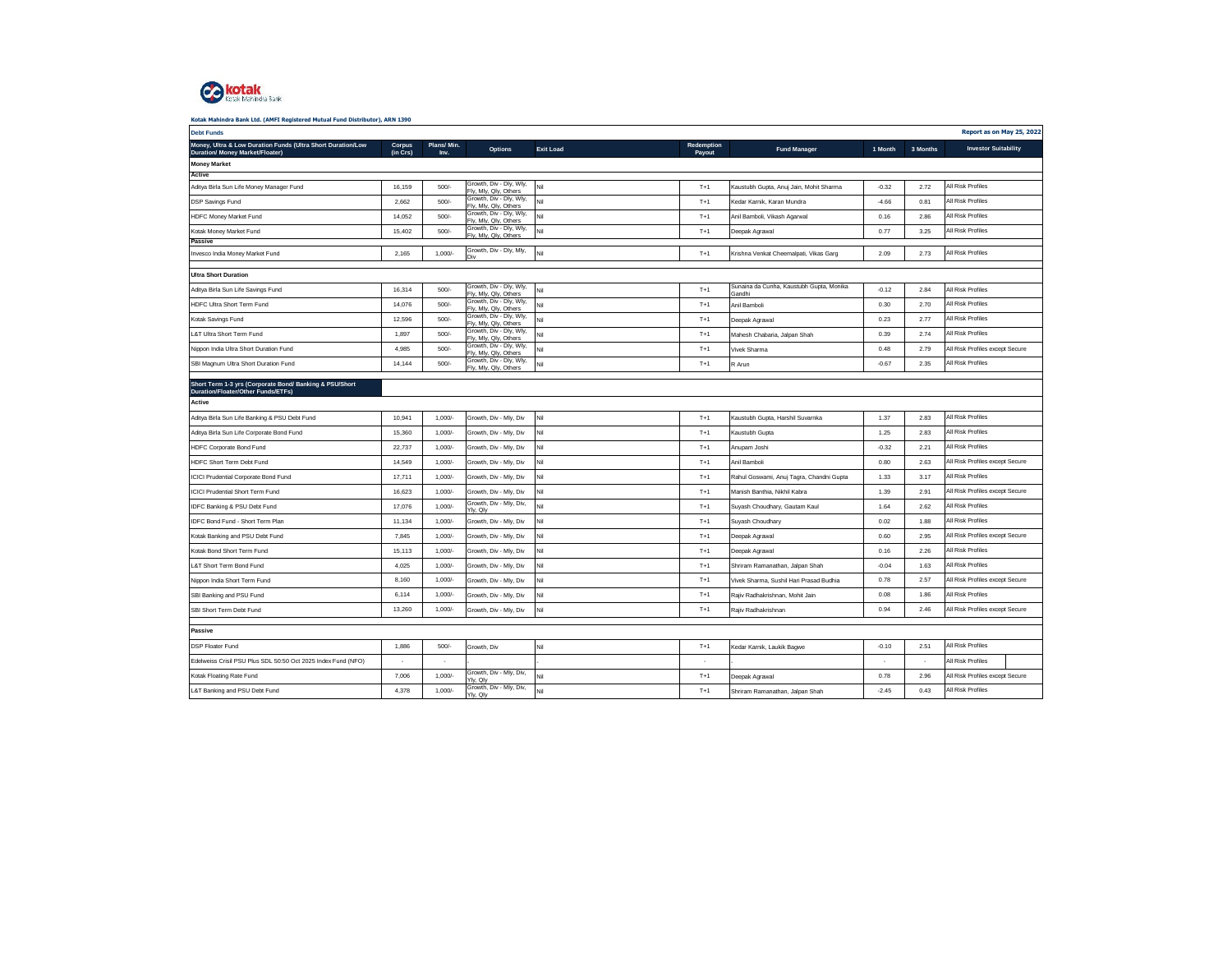

| <b>Debt Funds</b>                                                                              |                    |                    |                                                  |                  |                      |                                                    |         |          | Report as on May 25, 2022       |
|------------------------------------------------------------------------------------------------|--------------------|--------------------|--------------------------------------------------|------------------|----------------------|----------------------------------------------------|---------|----------|---------------------------------|
| Money, Ultra & Low Duration Funds (Ultra Short Duration/Low<br>Duration/ Money Market/Floater) | Corpus<br>(in Crs) | Plans/Min.<br>Inv. | Options                                          | <b>Exit Load</b> | Redemption<br>Payout | <b>Fund Manager</b>                                | 1 Month | 3 Months | <b>Investor Suitability</b>     |
| <b>Money Market</b>                                                                            |                    |                    |                                                  |                  |                      |                                                    |         |          |                                 |
| Active                                                                                         |                    |                    | Growth, Div - Dly, Wly,                          |                  |                      |                                                    |         |          | All Risk Profiles               |
| Aditya Birla Sun Life Money Manager Fund                                                       | 16,159             | 500/               | Fly, Mly, Qly, Others<br>Growth, Div - Dly, Wly, | Nil              | $T+1$                | Kaustubh Gupta, Anuj Jain, Mohit Sharma            | $-0.32$ | 2.72     |                                 |
| <b>DSP Savings Fund</b>                                                                        | 2.662              | 500/               | Fly, Mly, Qly, Others                            | Nil              | $T+1$                | Kedar Karnik, Karan Mundra                         | $-4.66$ | 0.81     | All Risk Profiles               |
| HDFC Money Market Fund                                                                         | 14,052             | 500/               | Growth, Div - Dly, Wly,<br>Fly, Mly, Qly, Others | Nil              | $T+1$                | Anil Bamboli, Vikash Agarwal                       | 0.16    | 2.86     | All Risk Profiles               |
| Kotak Money Market Fund                                                                        | 15,402             | 500/               | Growth, Div - Dly, Wly,<br>Fly, Mly, Qly, Others | Nil              | $T+1$                | Deepak Agrawal                                     | 0.77    | 3.25     | All Risk Profiles               |
| Passive<br>Invesco India Money Market Fund                                                     | 2,165              | $1,000/-$          | Growth, Div - Dly, Mly,                          | Nil              | $T+1$                | Krishna Venkat Cheemalpati, Vikas Garg             | 2.09    | 2.73     | All Risk Profiles               |
| <b>Ultra Short Duration</b>                                                                    |                    |                    |                                                  |                  |                      |                                                    |         |          |                                 |
| Aditya Birla Sun Life Savings Fund                                                             | 16,314             | 500/               | Growth, Div - Dly, Wly,<br>Fly, Mly, Qly, Others | Nil              | $T+1$                | Sunaina da Cunha, Kaustubh Gupta, Monika<br>Gandhi | $-0.12$ | 2.84     | All Risk Profiles               |
| HDFC Ultra Short Term Fund                                                                     | 14,076             | 500/               | Growth, Div - Dly, Wly,<br>Fly, Mly, Qly, Others | Nil              | $T+1$                | Anil Bamboli                                       | 0.30    | 2.70     | All Risk Profiles               |
| Kotak Savings Fund                                                                             | 12,596             | 500/               | Growth, Div - Dly, Wly,<br>Fly, Mly, Qly, Others | Nil              | $T+1$                | Deepak Agrawal                                     | 0.23    | 2.77     | All Risk Profiles               |
| L&T Ultra Short Term Fund                                                                      | 1,897              | 500/               | Growth, Div - Dly, Wly,<br>Fly, Mly, Qly, Others | Nil              | $T+1$                | Mahesh Chabaria, Jalpan Shah                       | 0.39    | 2.74     | All Risk Profiles               |
| Nippon India Ultra Short Duration Fund                                                         | 4,985              | 500/               | Growth, Div - Dly, Wly,<br>Fly, Mly, Qly, Others | Nil              | $T+1$                | Vivek Sharma                                       | 0.48    | 2.79     | All Risk Profiles except Secure |
| SBI Magnum Ultra Short Duration Fund                                                           | 14,144             | 500/               | Growth, Div - Dly, Wly,<br>Fly, Mly, Qly, Others | Nil              | $T+1$                | R Arun                                             | $-0.67$ | 2.35     | All Risk Profiles               |
| Short Term 1-3 yrs (Corporate Bond/ Banking & PSU/Short                                        |                    |                    |                                                  |                  |                      |                                                    |         |          |                                 |
| Duration/Floater/Other Funds/ETFs)                                                             |                    |                    |                                                  |                  |                      |                                                    |         |          |                                 |
| Active                                                                                         |                    |                    |                                                  |                  |                      |                                                    |         |          |                                 |
| Aditya Birla Sun Life Banking & PSU Debt Fund                                                  | 10,941             | $1,000/-$          | Growth, Div - Mly, Div                           | Nil              | $T+1$                | Kaustubh Gupta, Harshil Suvarnka                   | 1.37    | 2.83     | All Risk Profiles               |
| Aditya Birla Sun Life Corporate Bond Fund                                                      | 15,360             | $1,000/-$          | Growth, Div - Mly, Div                           | Nil              | $T+1$                | Kaustubh Gupta                                     | 1.25    | 2.83     | All Risk Profiles               |
| HDFC Corporate Bond Fund                                                                       | 22,737             | 1,000/             | Growth, Div - Mly, Div                           | Nil              | $T+1$                | Anupam Joshi                                       | $-0.32$ | 2.21     | All Risk Profiles               |
| HDFC Short Term Debt Fund                                                                      | 14,549             | $1,000/-$          | Growth, Div - Mly, Div                           | Nil              | $T+1$                | Anil Bamboli                                       | 0.80    | 2.63     | All Risk Profiles except Secure |
| <b>ICICI Prudential Corporate Bond Fund</b>                                                    | 17,711             | 1,000/             | Growth, Div - Mly, Div                           | Nil              | $T+1$                | Rahul Goswami, Anuj Tagra, Chandni Gupta           | 1.33    | 3.17     | All Risk Profiles               |
| <b>ICICI Prudential Short Term Fund</b>                                                        | 16,623             | $1,000/-$          | Growth, Div - Mly, Div                           | Nil              | $T+1$                | Manish Banthia, Nikhil Kabra                       | 1.39    | 2.91     | All Risk Profiles except Secure |
| IDFC Banking & PSU Debt Fund                                                                   | 17,076             | 1,000/             | Growth, Div - Mly, Div,<br>Ylv. Olv              | Nil              | $T+1$                | Suyash Choudhary, Gautam Kaul                      | 1.64    | 2.62     | All Risk Profiles               |
| IDFC Bond Fund - Short Term Plan                                                               | 11,134             | 1,000/             | Growth, Div - Mly, Div                           | lil.             | $T+1$                | Suyash Choudhary                                   | 0.02    | 1.88     | All Risk Profiles               |
| Kotak Banking and PSU Debt Fund                                                                | 7,845              | 1,000/             | Growth, Div - Mly, Div                           | Nil              | $T+1$                | Deepak Agrawal                                     | 0.60    | 2.95     | All Risk Profiles except Secure |
| Kotak Bond Short Term Fund                                                                     | 15,113             | 1,000/             | Growth, Div - Mly, Div                           | Nil              | $T+1$                | Deepak Agrawal                                     | 0.16    | 2.26     | All Risk Profiles               |
| L&T Short Term Bond Fund                                                                       | 4,025              | 1,000/             | Growth, Div - Mly, Div                           | Nil              | $T+1$                | Shriram Ramanathan, Jalpan Shah                    | $-0.04$ | 1.63     | All Risk Profiles               |
| Nippon India Short Term Fund                                                                   | 8,160              | 1,000/             | Growth, Div - Mly, Div                           | Nil              | $T+1$                | Vivek Sharma, Sushil Hari Prasad Budhia            | 0.78    | 2.57     | All Risk Profiles except Secure |
| SBI Banking and PSU Fund                                                                       | 6,114              | 1,000/             | Growth, Div - Mly, Div                           | Nil              | $T+1$                | Rajiv Radhakrishnan, Mohit Jain                    | 0.08    | 1.86     | All Risk Profiles               |
| SBI Short Term Debt Fund                                                                       | 13.260             | $1,000/-$          | Growth, Div - Mly, Div                           | Nil              | $T+1$                | Rajiv Radhakrishnan                                | 0.94    | 2.46     | All Risk Profiles except Secure |
| Passive                                                                                        |                    |                    |                                                  |                  |                      |                                                    |         |          |                                 |
| <b>DSP Floater Fund</b>                                                                        | 1,886              | 500/               | Growth, Div                                      | Nil              | $T+1$                | Kedar Karnik, Laukik Bagwe                         | $-0.10$ | 2.51     | All Risk Profiles               |
| Edelweiss Crisil PSU Plus SDL 50:50 Oct 2025 Index Fund (NFO)                                  | ٠                  | ٠                  |                                                  |                  | $\sim$               |                                                    |         | $\sim$   | All Risk Profiles               |
| Kotak Floating Rate Fund                                                                       | 7,006              | 1,000/             | Growth, Div - Mly, Div,<br>Yly, Qly              | Nil              | $T+1$                | Deepak Agrawal                                     | 0.78    | 2.96     | All Risk Profiles except Secure |
| L&T Banking and PSU Debt Fund                                                                  | 4,378              | $1,000/-$          | Growth, Div - Mly, Div,<br>Yly, Qly              | Nil              | $T+1$                | Shriram Ramanathan, Jalpan Shah                    | $-2.45$ | 0.43     | All Risk Profiles               |
|                                                                                                |                    |                    |                                                  |                  |                      |                                                    |         |          |                                 |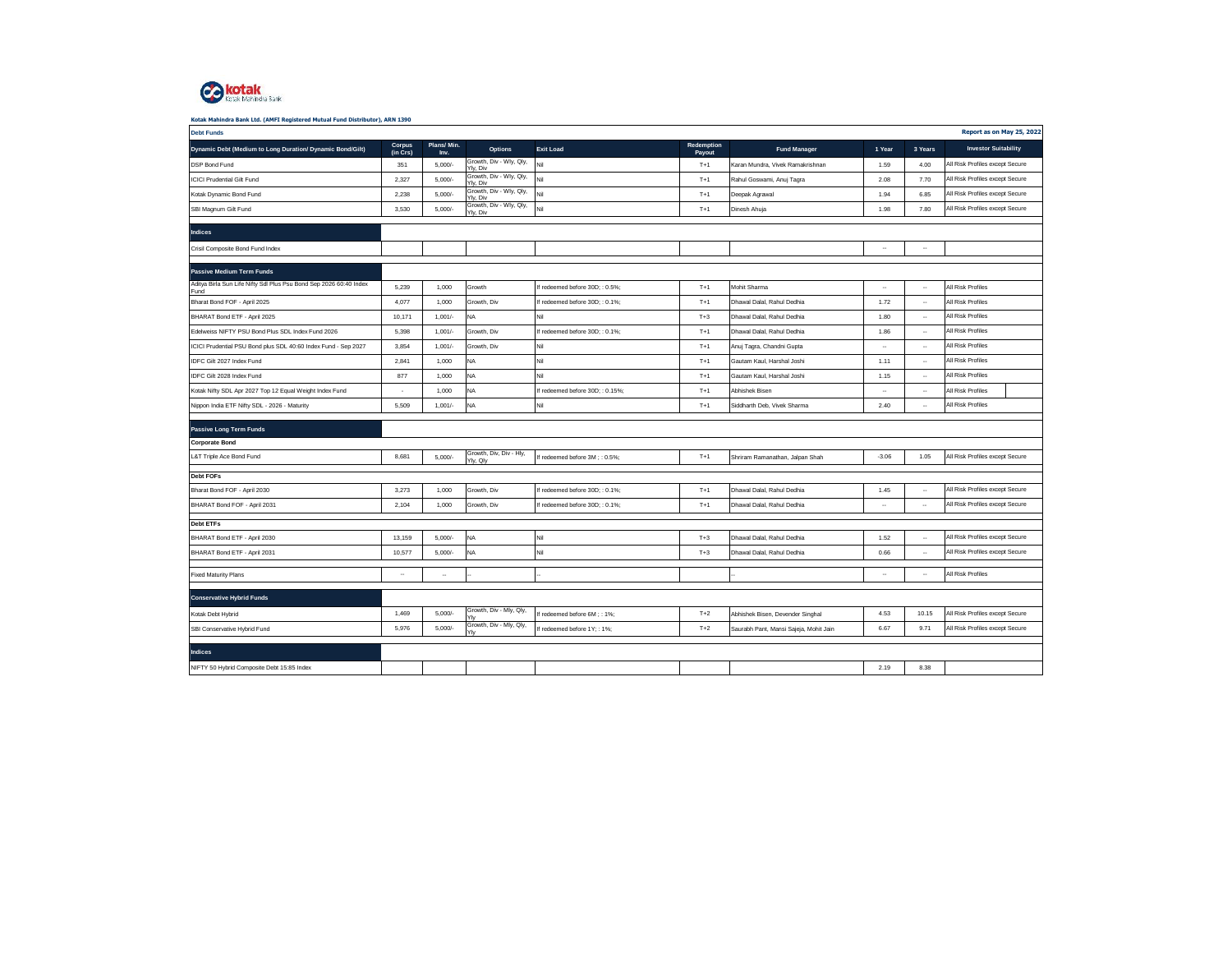

| <b>Debt Funds</b>                                                          |                    |                    |                                      |                                 |                      |                                        |           |                          | Report as on May 25, 2022       |
|----------------------------------------------------------------------------|--------------------|--------------------|--------------------------------------|---------------------------------|----------------------|----------------------------------------|-----------|--------------------------|---------------------------------|
| Dynamic Debt (Medium to Long Duration/ Dynamic Bond/Gilt)                  | Corpus<br>(in Crs) | Plans/Min.<br>Inv. | <b>Options</b>                       | <b>Exit Load</b>                | Redemption<br>Payout | <b>Fund Manager</b>                    | 1 Year    | 3 Years                  | <b>Investor Suitability</b>     |
| DSP Bond Fund                                                              | 351                | 5,000/             | Growth, Div - Wly, Qly,<br>Yly, Div  | Nil                             | $T+1$                | Karan Mundra, Vivek Ramakrishnan       | 1.59      | 4.00                     | All Risk Profiles except Secure |
| <b>ICICI Prudential Gilt Fund</b>                                          | 2,327              | 5,000/             | Growth, Div - Wly, Qly,<br>Yly, Div  | Nil                             | $T+1$                | Rahul Goswami, Anuj Tagra              | 2.08      | 7.70                     | All Risk Profiles except Secure |
| Kotak Dynamic Bond Fund                                                    | 2,238              | 5,000/             | Growth, Div - Wly, Qly,<br>Yly, Div  | Nil                             | $T+1$                | Deepak Agrawal                         | 1.94      | 6.85                     | All Risk Profiles except Secure |
| SBI Magnum Gilt Fund                                                       | 3,530              | 5,000/             | Growth, Div - Wly, Qly,<br>Ylv. Div  | Nil                             | $T+1$                | Dinesh Ahuja                           | 1.98      | 7.80                     | All Risk Profiles except Secure |
|                                                                            |                    |                    |                                      |                                 |                      |                                        |           |                          |                                 |
| Indices                                                                    |                    |                    |                                      |                                 |                      |                                        |           |                          |                                 |
| Crisil Composite Bond Fund Index                                           |                    |                    |                                      |                                 |                      |                                        | ٠.        | $\overline{\phantom{a}}$ |                                 |
| Passive Medium Term Funds                                                  |                    |                    |                                      |                                 |                      |                                        |           |                          |                                 |
| Aditya Birla Sun Life Nifty Sdl Plus Psu Bond Sep 2026 60:40 Index<br>Fund | 5,239              | 1,000              | Growth                               | If redeemed before 30D; : 0.5%; | $T+1$                | Mohit Sharma                           | $\ddotsc$ | $\overline{\phantom{a}}$ | All Risk Profiles               |
| Bharat Bond FOF - April 2025                                               | 4,077              | 1,000              | Growth, Div                          | If redeemed before 30D; : 0.1%; | $T+1$                | Dhawal Dalal, Rahul Dedhia             | 1.72      | $\overline{\phantom{a}}$ | All Risk Profiles               |
| BHARAT Bond ETF - April 2025                                               | 10,171             | $1,001/-$          | <b>NA</b>                            | Nil                             | $T+3$                | Dhawal Dalal, Rahul Dedhia             | 1.80      | ٠.                       | All Risk Profiles               |
| Edelweiss NIFTY PSU Bond Plus SDL Index Fund 2026                          | 5,398              | $1,001/-$          | Growth, Div                          | If redeemed before 30D; : 0.1%; | $T+1$                | Dhawal Dalal, Rahul Dedhia             | 1.86      | $\overline{\phantom{a}}$ | All Risk Profiles               |
| ICICI Prudential PSU Bond plus SDL 40:60 Index Fund - Sep 2027             | 3,854              | 1,001/             | Growth, Div                          | Nil                             | $T+1$                | Anuj Tagra, Chandni Gupta              | ٠.        | $\overline{\phantom{a}}$ | All Risk Profiles               |
| IDFC Gilt 2027 Index Fund                                                  | 2,841              | 1,000              | <b>NA</b>                            | Nil                             | $T+1$                | Gautam Kaul, Harshal Joshi             | 1.11      | $\ddot{\phantom{0}}$     | All Risk Profiles               |
| IDFC Gilt 2028 Index Fund                                                  | 877                | 1,000              | <b>NA</b>                            | Nil                             | $T+1$                | Gautam Kaul, Harshal Joshi             | 1.15      | $\ddot{\phantom{0}}$     | All Risk Profiles               |
| Kotak Nifty SDL Apr 2027 Top 12 Equal Weight Index Fund                    | ٠                  | 1,000              | <b>NA</b>                            | If redeemed before 30D:: 0.15%: | $T+1$                | Abhishek Bisen                         |           | $\ddotsc$                | All Risk Profiles               |
| Nippon India ETF Nifty SDL - 2026 - Maturity                               | 5,509              | $1,001/-$          | <b>NA</b>                            | Nil                             | $T+1$                | Siddharth Deb, Vivek Sharma            | 2.40      | $\overline{\phantom{a}}$ | All Risk Profiles               |
| Passive Long Term Funds                                                    |                    |                    |                                      |                                 |                      |                                        |           |                          |                                 |
| <b>Corporate Bond</b>                                                      |                    |                    |                                      |                                 |                      |                                        |           |                          |                                 |
| L&T Triple Ace Bond Fund                                                   | 8,681              | $5,000/$ -         | Growth, Div, Div - Hly,<br>Yly, Qly  | If redeemed before 3M ; : 0.5%; | $T+1$                | Shriram Ramanathan, Jalpan Shah        | $-3.06$   | 1.05                     | All Risk Profiles except Secure |
|                                                                            |                    |                    |                                      |                                 |                      |                                        |           |                          |                                 |
| Debt FOFs                                                                  | 3,273              |                    |                                      |                                 | $T+1$                |                                        | 1.45      |                          | All Risk Profiles except Secure |
| Bharat Bond FOF - April 2030                                               | 2,104              | 1,000              | Growth, Div                          | If redeemed before 30D; : 0.1%; | $T+1$                | Dhawal Dalal, Rahul Dedhia             |           | $\ddotsc$                |                                 |
| BHARAT Bond FOF - April 2031                                               |                    | 1,000              | Growth, Div                          | If redeemed before 30D; : 0.1%; |                      | Dhawal Dalal, Rahul Dedhia             | $\cdot$   | $\overline{\phantom{a}}$ | All Risk Profiles except Secure |
| <b>Debt ETFs</b>                                                           |                    |                    |                                      |                                 |                      |                                        |           |                          |                                 |
| BHARAT Bond ETF - April 2030                                               | 13,159             | 5,000/             | <b>NA</b>                            | Nil                             | $T+3$                | Dhawal Dalal, Rahul Dedhia             | 1.52      | $\ddotsc$                | All Risk Profiles except Secure |
| BHARAT Bond ETF - April 2031                                               | 10,577             | 5,000/             | <b>NA</b>                            | Nil                             | $T+3$                | Dhawal Dalal, Rahul Dedhia             | 0.66      | $\sim$                   | All Risk Profiles except Secure |
| <b>Fixed Maturity Plans</b>                                                | $\ddotsc$          | $\cdots$           |                                      |                                 |                      |                                        |           | $\sim$                   | All Risk Profiles               |
|                                                                            |                    |                    |                                      |                                 |                      |                                        |           |                          |                                 |
| <b>Conservative Hybrid Funds</b>                                           |                    |                    |                                      |                                 |                      |                                        |           |                          |                                 |
| Kotak Debt Hybrid                                                          | 1,469              | 5,000/             | Growth, Div - Mly, Qly,<br><b>Yh</b> | If redeemed before 6M; : 1%;    | $T+2$                | Abhishek Bisen, Devender Singhal       | 4.53      | 10.15                    | All Risk Profiles except Secure |
| SBI Conservative Hybrid Fund                                               | 5,976              | 5,000/             | Growth, Div - Mly, Qly,              | If redeemed before 1Y; : 1%;    | $T+2$                | Saurabh Pant, Mansi Sajeja, Mohit Jain | 6.67      | 9.71                     | All Risk Profiles except Secure |
|                                                                            |                    |                    |                                      |                                 |                      |                                        |           |                          |                                 |
| <b>Indices</b>                                                             |                    |                    |                                      |                                 |                      |                                        |           |                          |                                 |
| NIFTY 50 Hybrid Composite Debt 15:85 Index                                 |                    |                    |                                      |                                 |                      |                                        | 2.19      | 8.38                     |                                 |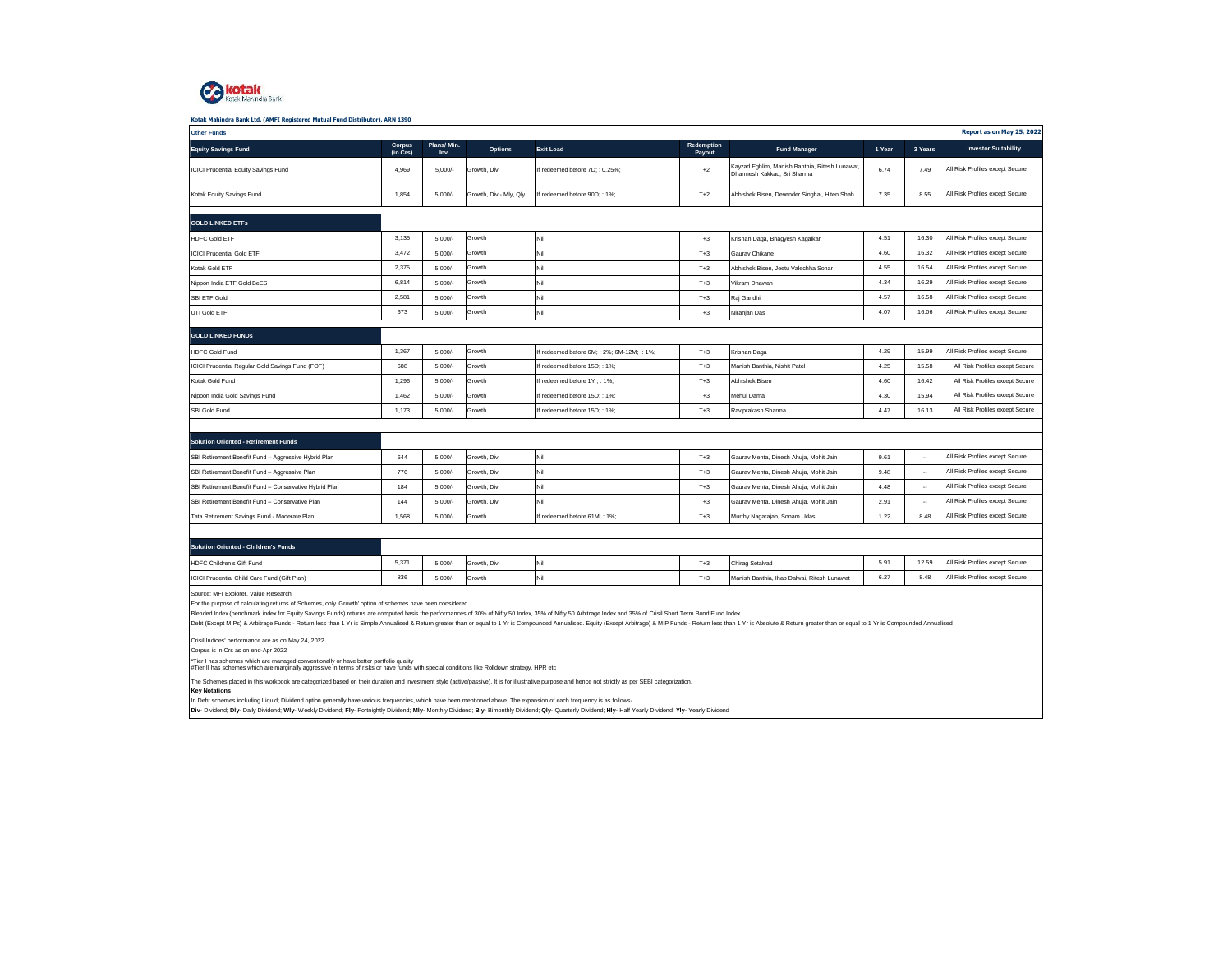

| Kotak Mahindra Bank Ltd. (AMFI Registered Mutual Fund Distributor), ARN 1390                                                                                                                                                                                                                                                                                     |                    |                    |                        |                                            |                      |                                                                              |        |                          |                                 |
|------------------------------------------------------------------------------------------------------------------------------------------------------------------------------------------------------------------------------------------------------------------------------------------------------------------------------------------------------------------|--------------------|--------------------|------------------------|--------------------------------------------|----------------------|------------------------------------------------------------------------------|--------|--------------------------|---------------------------------|
| <b>Other Funds</b>                                                                                                                                                                                                                                                                                                                                               |                    |                    |                        |                                            |                      |                                                                              |        |                          | Report as on May 25, 2022       |
| <b>Equity Savings Fund</b>                                                                                                                                                                                                                                                                                                                                       | Corpus<br>(in Crs) | Plans/Min.<br>Inv. | <b>Options</b>         | <b>Exit Load</b>                           | Redemption<br>Payout | <b>Fund Manager</b>                                                          | 1 Year | 3 Years                  | <b>Investor Suitability</b>     |
| ICICI Prudential Equity Savings Fund                                                                                                                                                                                                                                                                                                                             | 4,969              | 5,000/             | Growth, Div            | If redeemed before 7D; : 0.25%;            | $T+2$                | Kayzad Eghlim, Manish Banthia, Ritesh Lunawat<br>Dharmesh Kakkad, Sri Sharma | 6.74   | 7.49                     | All Risk Profiles except Secure |
| Kotak Equity Savings Fund                                                                                                                                                                                                                                                                                                                                        | 1,854              | $5,000/$ -         | Growth, Div - Mly, Qly | If redeemed before 90D; : 1%;              | $T+2$                | Abhishek Bisen, Devender Singhal, Hiten Shah                                 | 7.35   | 8.55                     | All Risk Profiles except Secure |
|                                                                                                                                                                                                                                                                                                                                                                  |                    |                    |                        |                                            |                      |                                                                              |        |                          |                                 |
| <b>GOLD LINKED ETFS</b>                                                                                                                                                                                                                                                                                                                                          |                    |                    |                        |                                            |                      |                                                                              |        |                          |                                 |
| <b>HDFC Gold ETF</b>                                                                                                                                                                                                                                                                                                                                             | 3.135              | 5,000/             | Growth                 | Nil                                        | $T+3$                | Krishan Daga, Bhagyesh Kagalkar                                              | 4.51   | 16.30                    | All Risk Profiles except Secure |
| <b>ICICI Prudential Gold ETF</b>                                                                                                                                                                                                                                                                                                                                 | 3,472              | 5,000/             | Growth                 | Nil                                        | $T+3$                | Gauray Chikane                                                               | 4.60   | 16.32                    | All Risk Profiles except Secure |
| Kotak Gold ETF                                                                                                                                                                                                                                                                                                                                                   | 2,375              | 5,000/             | Growth                 | Nil                                        | $T+3$                | Abhishek Bisen, Jeetu Valechha Sonar                                         | 4.55   | 16.54                    | All Risk Profiles except Secure |
| Nippon India ETF Gold BeES                                                                                                                                                                                                                                                                                                                                       | 6,814              | 5.000/             | Growth                 | Nil                                        | $T+3$                | Vikram Dhawan                                                                | 4.34   | 16.29                    | All Risk Profiles except Secure |
| SBI ETF Gold                                                                                                                                                                                                                                                                                                                                                     | 2,581              | 5,000/             | Growth                 | Nil                                        | $T+3$                | Raj Gandhi                                                                   | 4.57   | 16.58                    | All Risk Profiles except Secure |
| UTI Gold ETF                                                                                                                                                                                                                                                                                                                                                     | 673                | 5,000/             | Growth                 | Nil                                        | $T+3$                | Niranjan Das                                                                 | 4.07   | 16.06                    | All Risk Profiles except Secure |
|                                                                                                                                                                                                                                                                                                                                                                  |                    |                    |                        |                                            |                      |                                                                              |        |                          |                                 |
| <b>GOLD LINKED FUNDS</b>                                                                                                                                                                                                                                                                                                                                         |                    |                    |                        |                                            |                      |                                                                              |        |                          |                                 |
| <b>HDFC Gold Fund</b>                                                                                                                                                                                                                                                                                                                                            | 1,367              | 5,000/             | Growth                 | If redeemed before 6M; : 2%; 6M-12M; : 1%; | $T+3$                | Krishan Daga                                                                 | 4.29   | 15.99                    | All Risk Profiles except Secure |
| ICICI Prudential Regular Gold Savings Fund (FOF)                                                                                                                                                                                                                                                                                                                 | 688                | 5,000/             | Growth                 | If redeemed before 15D; : 1%;              | $T+3$                | Manish Banthia, Nishit Patel                                                 | 4.25   | 15.58                    | All Risk Profiles except Secure |
| Kotak Gold Fund                                                                                                                                                                                                                                                                                                                                                  | 1.296              | 5.000/             | Growth                 | If redeemed before 1Y: : 1%:               | $T+3$                | Abhishek Bisen                                                               | 4.60   | 16.42                    | All Risk Profiles except Secure |
| Nippon India Gold Savings Fund                                                                                                                                                                                                                                                                                                                                   | 1,462              | 5,000/             | Growth                 | If redeemed before 15D; : 1%;              | $T+3$                | Mehul Dama                                                                   | 4.30   | 15.94                    | All Risk Profiles except Secure |
| SBI Gold Fund                                                                                                                                                                                                                                                                                                                                                    | 1,173              | $5.000/-$          | Growth                 | If redeemed before 15D:: 1%:               | $T+3$                | Raviprakash Sharma                                                           | 4.47   | 16.13                    | All Risk Profiles except Secure |
|                                                                                                                                                                                                                                                                                                                                                                  |                    |                    |                        |                                            |                      |                                                                              |        |                          |                                 |
| <b>Solution Oriented - Retirement Funds</b>                                                                                                                                                                                                                                                                                                                      |                    |                    |                        |                                            |                      |                                                                              |        |                          |                                 |
| SBI Retirement Benefit Fund - Aggressive Hybrid Plan                                                                                                                                                                                                                                                                                                             | 644                | 5,000/             | Growth, Div            | Nil                                        | $T+3$                | Gaurav Mehta, Dinesh Ahuja, Mohit Jain                                       | 9.61   | $\overline{\phantom{a}}$ | All Risk Profiles except Secure |
| SBI Retirement Benefit Fund - Aggressive Plan                                                                                                                                                                                                                                                                                                                    | 776                | 5,000/             | Growth, Div            | Nil                                        | $T+3$                | Gaurav Mehta, Dinesh Ahuja, Mohit Jain                                       | 9.48   | $\ddotsc$                | All Risk Profiles except Secure |
| SBI Retirement Benefit Fund - Conservative Hybrid Plan                                                                                                                                                                                                                                                                                                           | 184                | 5,000/             | Growth, Div            | Nil                                        | $T+3$                | Gaurav Mehta, Dinesh Ahuja, Mohit Jain                                       | 4.48   | $\overline{\phantom{a}}$ | All Risk Profiles except Secure |
| SBI Retirement Benefit Fund - Conservative Plan                                                                                                                                                                                                                                                                                                                  | 144                | 5,000/             | Growth, Div            | Nil                                        | $T+3$                | Gaurav Mehta, Dinesh Ahuja, Mohit Jain                                       | 2.91   | $\overline{\phantom{a}}$ | All Risk Profiles except Secure |
| Tata Retirement Savings Fund - Moderate Plan                                                                                                                                                                                                                                                                                                                     | 1.568              | 5.000/             | Growth                 | If redeemed before 61M:: 1%:               | $T+3$                | Murthy Nagarajan, Sonam Udasi                                                | 1.22   | 8.48                     | All Risk Profiles except Secure |
|                                                                                                                                                                                                                                                                                                                                                                  |                    |                    |                        |                                            |                      |                                                                              |        |                          |                                 |
| <b>Solution Oriented - Children's Funds</b>                                                                                                                                                                                                                                                                                                                      |                    |                    |                        |                                            |                      |                                                                              |        |                          |                                 |
| HDFC Children's Gift Fund                                                                                                                                                                                                                                                                                                                                        | 5,371              | 5,000/             | Growth, Div            | Nil                                        | $T+3$                | Chirag Setalvad                                                              | 5.91   | 12.59                    | All Risk Profiles except Secure |
| ICICI Prudential Child Care Fund (Gift Plan)                                                                                                                                                                                                                                                                                                                     | 836                | 5,000/             | Growth                 | Nil                                        | $T+3$                | Manish Banthia, Ihab Dalwai, Ritesh Lunawat                                  | 6.27   | 8.48                     | All Risk Profiles except Secure |
| Source: MFI Explorer, Value Research<br>For the purpose of calculating returns of Schemes, only 'Growth' option of schemes have been considered.<br>Blended Index (benchmark index for Equity Savings Funds) returns are computed basis the performances of 30% of Nifty 50 Index, 35% of Nifty 50 Arbitrage Index and 35% of Crisil Short Term Bond Fund Index. |                    |                    |                        |                                            |                      |                                                                              |        |                          |                                 |

Debt (Except MIPs) & Arbitrage Funds - Return less than 1 Yr is Simple Annualised & Return greater than or equal to 1 Yr is Compounded Annualised. Equity (Except Arbitrage) & MIP Funds - Return less than 1 Yr is Absolute &

Crisil Indices' performance are as on May 24, 2022

Corpus is in Crs as on end-Apr 2022

\*Tier I has schemes which are managed conventionally or have better portfolio quality<br>#Tier II has schemes which are marginally aggressive in terms of risks or have funds with special conditions like Rolldown strategy, HPR

The Schemes placed in this workbook are categorized based on their duration and investment style (active/passive). It is for illustrative purpose and hence not strictly as per SEBI categorization.

**Key Notations**

In Debt schemes including Liquid; Dividend option generally have various frequencies, which have been mentioned above. The expansion of each frequency is as follows-

Div- Dividend; Dly- Daily Dividend; Wly- Weekly Dividend; Fly- Fortnightly Dividend; Mly- Monthly Dividend; Bly- Bimonthly Dividend; Qly- Quarterly Dividend; Hly- Half Yearly Dividend; Yly- Yearly Dividend